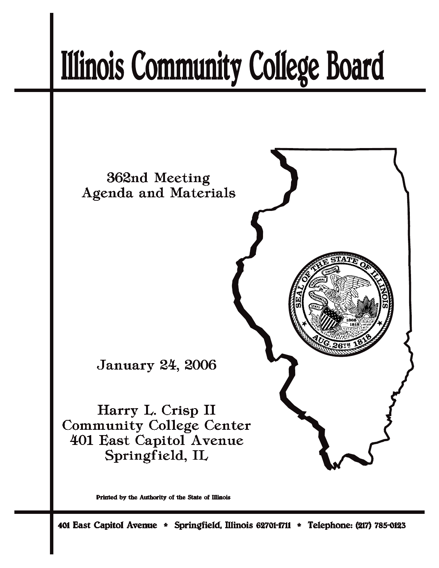# **Illinois Community College Board**



Printed by the Authority of the State of Illinois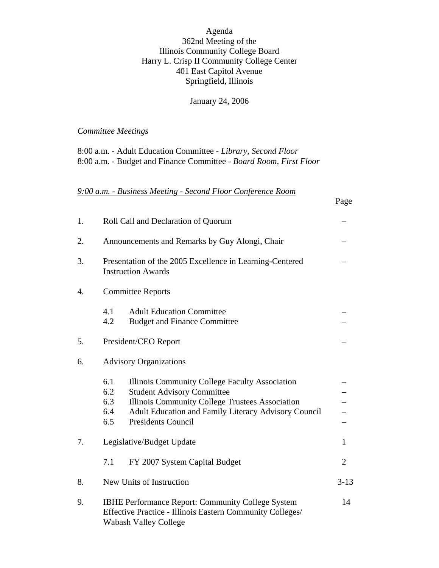Agenda 362nd Meeting of the Illinois Community College Board Harry L. Crisp II Community College Center 401 East Capitol Avenue Springfield, Illinois

January 24, 2006

Page

# *Committee Meetings*

8:00 a.m. - Adult Education Committee - *Library, Second Floor* 8:00 a.m. - Budget and Finance Committee - *Board Room, First Floor*

*9:00 a.m. - Business Meeting - Second Floor Conference Room*

| 1.               | Roll Call and Declaration of Quorum                                                                                                                                                                                                                            |                |  |  |  |
|------------------|----------------------------------------------------------------------------------------------------------------------------------------------------------------------------------------------------------------------------------------------------------------|----------------|--|--|--|
| 2.               | Announcements and Remarks by Guy Alongi, Chair                                                                                                                                                                                                                 |                |  |  |  |
| 3.               | Presentation of the 2005 Excellence in Learning-Centered<br><b>Instruction Awards</b>                                                                                                                                                                          |                |  |  |  |
| $\overline{4}$ . | <b>Committee Reports</b>                                                                                                                                                                                                                                       |                |  |  |  |
|                  | 4.1<br><b>Adult Education Committee</b><br>4.2<br><b>Budget and Finance Committee</b>                                                                                                                                                                          |                |  |  |  |
| 5.               | President/CEO Report                                                                                                                                                                                                                                           |                |  |  |  |
| 6.               | <b>Advisory Organizations</b>                                                                                                                                                                                                                                  |                |  |  |  |
|                  | 6.1<br>Illinois Community College Faculty Association<br>6.2<br><b>Student Advisory Committee</b><br>Illinois Community College Trustees Association<br>6.3<br>Adult Education and Family Literacy Advisory Council<br>6.4<br>6.5<br><b>Presidents Council</b> |                |  |  |  |
| 7.               | Legislative/Budget Update                                                                                                                                                                                                                                      |                |  |  |  |
|                  | FY 2007 System Capital Budget<br>7.1                                                                                                                                                                                                                           | $\overline{2}$ |  |  |  |
| 8.               | New Units of Instruction<br>$3 - 13$                                                                                                                                                                                                                           |                |  |  |  |
| 9.               | <b>IBHE Performance Report: Community College System</b><br>14<br>Effective Practice - Illinois Eastern Community Colleges/<br>Wabash Valley College                                                                                                           |                |  |  |  |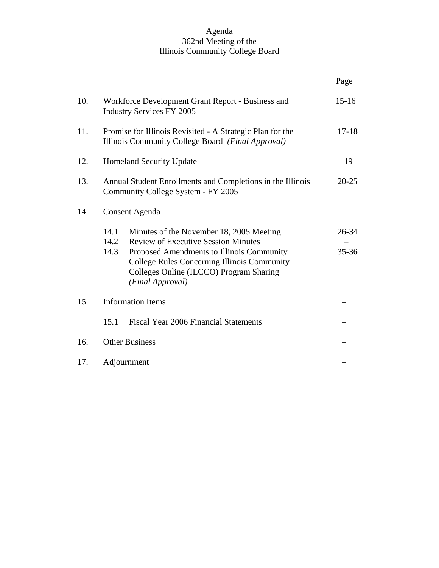## Agenda 362nd Meeting of the Illinois Community College Board

|     |                                                                                                                |                                                                                                                                                                                                                                                          | Page                   |  |  |
|-----|----------------------------------------------------------------------------------------------------------------|----------------------------------------------------------------------------------------------------------------------------------------------------------------------------------------------------------------------------------------------------------|------------------------|--|--|
| 10. | $15 - 16$<br>Workforce Development Grant Report - Business and<br><b>Industry Services FY 2005</b>             |                                                                                                                                                                                                                                                          |                        |  |  |
| 11. | Promise for Illinois Revisited - A Strategic Plan for the<br>Illinois Community College Board (Final Approval) |                                                                                                                                                                                                                                                          |                        |  |  |
| 12. | <b>Homeland Security Update</b>                                                                                |                                                                                                                                                                                                                                                          |                        |  |  |
| 13. | Annual Student Enrollments and Completions in the Illinois<br>Community College System - FY 2005               |                                                                                                                                                                                                                                                          |                        |  |  |
| 14. | <b>Consent Agenda</b>                                                                                          |                                                                                                                                                                                                                                                          |                        |  |  |
|     | 14.1<br>14.2<br>14.3                                                                                           | Minutes of the November 18, 2005 Meeting<br><b>Review of Executive Session Minutes</b><br>Proposed Amendments to Illinois Community<br><b>College Rules Concerning Illinois Community</b><br>Colleges Online (ILCCO) Program Sharing<br>(Final Approval) | $26 - 34$<br>$35 - 36$ |  |  |
| 15. | <b>Information Items</b>                                                                                       |                                                                                                                                                                                                                                                          |                        |  |  |
|     | 15.1                                                                                                           | Fiscal Year 2006 Financial Statements                                                                                                                                                                                                                    |                        |  |  |
| 16. | <b>Other Business</b>                                                                                          |                                                                                                                                                                                                                                                          |                        |  |  |
| 17. | Adjournment                                                                                                    |                                                                                                                                                                                                                                                          |                        |  |  |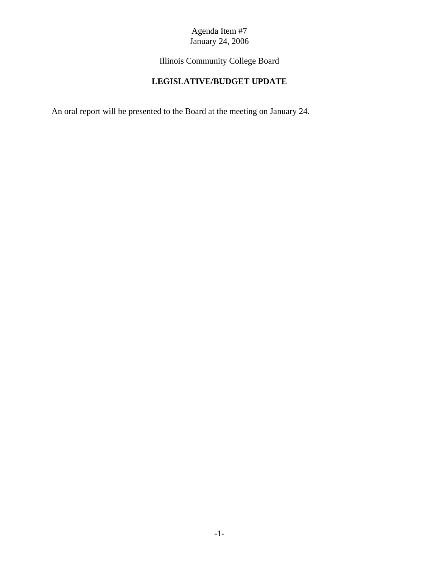Illinois Community College Board

# **LEGISLATIVE/BUDGET UPDATE**

An oral report will be presented to the Board at the meeting on January 24.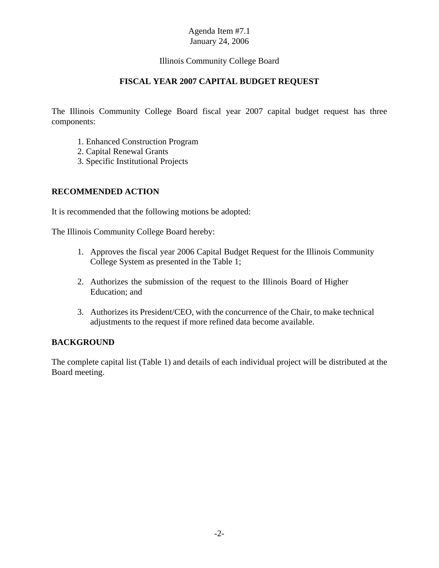# Illinois Community College Board

# **FISCAL YEAR 2007 CAPITAL BUDGET REQUEST**

The Illinois Community College Board fiscal year 2007 capital budget request has three components:

- 1. Enhanced Construction Program
- 2. Capital Renewal Grants
- 3. Specific Institutional Projects

# **RECOMMENDED ACTION**

It is recommended that the following motions be adopted:

The Illinois Community College Board hereby:

- 1. Approves the fiscal year 2006 Capital Budget Request for the Illinois Community College System as presented in the Table 1;
- 2. Authorizes the submission of the request to the Illinois Board of Higher Education; and
- 3. Authorizes its President/CEO, with the concurrence of the Chair, to make technical adjustments to the request if more refined data become available.

# **BACKGROUND**

The complete capital list (Table 1) and details of each individual project will be distributed at the Board meeting.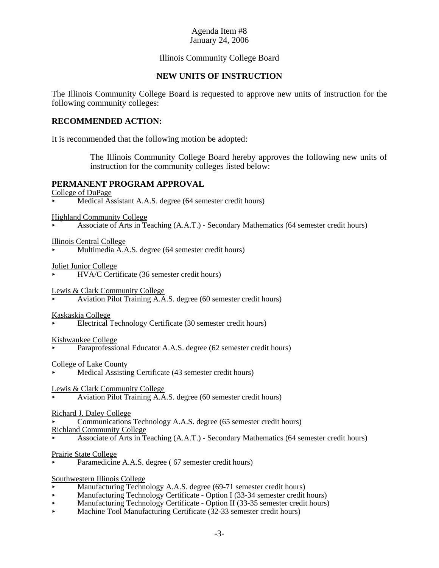## Illinois Community College Board

## **NEW UNITS OF INSTRUCTION**

The Illinois Community College Board is requested to approve new units of instruction for the following community colleges:

#### **RECOMMENDED ACTION:**

It is recommended that the following motion be adopted:

The Illinois Community College Board hereby approves the following new units of instruction for the community colleges listed below:

#### **PERMANENT PROGRAM APPROVAL**

College of DuPage

Medical Assistant A.A.S. degree (64 semester credit hours)

Highland Community College

< Associate of Arts in Teaching (A.A.T.) - Secondary Mathematics (64 semester credit hours)

Illinois Central College

Multimedia A.A.S. degree (64 semester credit hours)

Joliet Junior College

< HVA/C Certificate (36 semester credit hours)

Lewis & Clark Community College

< Aviation Pilot Training A.A.S. degree (60 semester credit hours)

Kaskaskia College

< Electrical Technology Certificate (30 semester credit hours)

#### Kishwaukee College

Paraprofessional Educator A.A.S. degree (62 semester credit hours)

College of Lake County

- Medical Assisting Certificate (43 semester credit hours)
- Lewis & Clark Community College
- < Aviation Pilot Training A.A.S. degree (60 semester credit hours)
- Richard J. Daley College
- < Communications Technology A.A.S. degree (65 semester credit hours)

Richland Community College

< Associate of Arts in Teaching (A.A.T.) - Secondary Mathematics (64 semester credit hours)

Prairie State College

Paramedicine A.A.S. degree (67 semester credit hours)

Southwestern Illinois College

- < Manufacturing Technology A.A.S. degree (69-71 semester credit hours)
- $\blacktriangleright$  Manufacturing Technology Certificate Option I (33-34 semester credit hours)
- $\blacktriangleright$  Manufacturing Technology Certificate Option II (33-35 semester credit hours)
- Machine Tool Manufacturing Certificate (32-33 semester credit hours)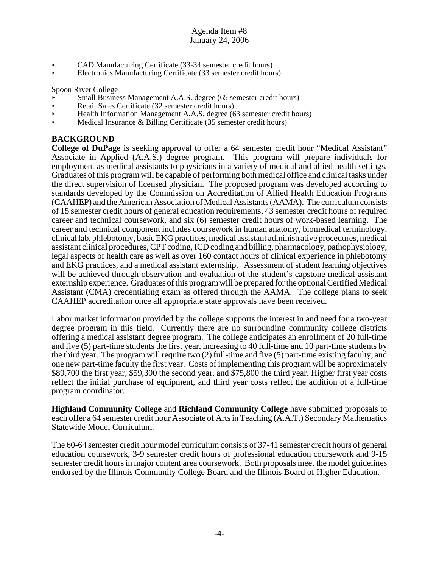- CAD Manufacturing Certificate (33-34 semester credit hours)
- < Electronics Manufacturing Certificate (33 semester credit hours)

#### Spoon River College

- Small Business Management A.A.S. degree (65 semester credit hours)
- < Retail Sales Certificate (32 semester credit hours)
- < Health Information Management A.A.S. degree (63 semester credit hours)
- $\blacktriangleright$  Medical Insurance & Billing Certificate (35 semester credit hours)

# **BACKGROUND**

**College of DuPage** is seeking approval to offer a 64 semester credit hour "Medical Assistant" Associate in Applied (A.A.S.) degree program. This program will prepare individuals for employment as medical assistants to physicians in a variety of medical and allied health settings. Graduates of this program will be capable of performing both medical office and clinical tasks under the direct supervision of licensed physician. The proposed program was developed according to standards developed by the Commission on Accreditation of Allied Health Education Programs (CAAHEP) and the American Association of Medical Assistants (AAMA). The curriculum consists of 15 semester credit hours of general education requirements, 43 semester credit hours of required career and technical coursework, and six (6) semester credit hours of work-based learning. The career and technical component includes coursework in human anatomy, biomedical terminology, clinical lab, phlebotomy, basic EKG practices, medical assistant administrative procedures, medical assistant clinical procedures, CPT coding, ICD coding and billing, pharmacology, pathophysiology, legal aspects of health care as well as over 160 contact hours of clinical experience in phlebotomy and EKG practices, and a medical assistant externship. Assessment of student learning objectives will be achieved through observation and evaluation of the student's capstone medical assistant externship experience. Graduates of this program will be prepared for the optional Certified Medical Assistant (CMA) credentialing exam as offered through the AAMA. The college plans to seek CAAHEP accreditation once all appropriate state approvals have been received.

Labor market information provided by the college supports the interest in and need for a two-year degree program in this field. Currently there are no surrounding community college districts offering a medical assistant degree program. The college anticipates an enrollment of 20 full-time and five (5) part-time students the first year, increasing to 40 full-time and 10 part-time students by the third year. The program will require two (2) full-time and five (5) part-time existing faculty, and one new part-time faculty the first year. Costs of implementing this program will be approximately \$89,700 the first year, \$59,300 the second year, and \$75,800 the third year. Higher first year costs reflect the initial purchase of equipment, and third year costs reflect the addition of a full-time program coordinator.

**Highland Community College** and **Richland Community College** have submitted proposals to each offer a 64 semester credit hour Associate of Arts in Teaching (A.A.T.) Secondary Mathematics Statewide Model Curriculum.

The 60-64 semester credit hour model curriculum consists of 37-41 semester credit hours of general education coursework, 3-9 semester credit hours of professional education coursework and 9-15 semester credit hours in major content area coursework. Both proposals meet the model guidelines endorsed by the Illinois Community College Board and the Illinois Board of Higher Education.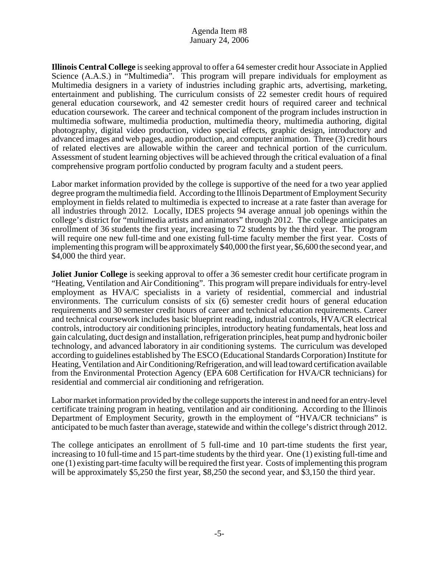**Illinois Central College** is seeking approval to offer a 64 semester credit hour Associate in Applied Science (A.A.S.) in "Multimedia". This program will prepare individuals for employment as Multimedia designers in a variety of industries including graphic arts, advertising, marketing, entertainment and publishing. The curriculum consists of 22 semester credit hours of required general education coursework, and 42 semester credit hours of required career and technical education coursework. The career and technical component of the program includes instruction in multimedia software, multimedia production, multimedia theory, multimedia authoring, digital photography, digital video production, video special effects, graphic design, introductory and advanced images and web pages, audio production, and computer animation. Three (3) credit hours of related electives are allowable within the career and technical portion of the curriculum. Assessment of student learning objectives will be achieved through the critical evaluation of a final comprehensive program portfolio conducted by program faculty and a student peers.

Labor market information provided by the college is supportive of the need for a two year applied degree program the multimedia field. According to the Illinois Department of Employment Security employment in fields related to multimedia is expected to increase at a rate faster than average for all industries through 2012. Locally, IDES projects 94 average annual job openings within the college's district for "multimedia artists and animators" through 2012. The college anticipates an enrollment of 36 students the first year, increasing to 72 students by the third year. The program will require one new full-time and one existing full-time faculty member the first year. Costs of implementing this program will be approximately \$40,000 the first year, \$6,600 the second year, and \$4,000 the third year.

**Joliet Junior College** is seeking approval to offer a 36 semester credit hour certificate program in "Heating, Ventilation and Air Conditioning". This program will prepare individuals for entry-level employment as HVA/C specialists in a variety of residential, commercial and industrial environments. The curriculum consists of six (6) semester credit hours of general education requirements and 30 semester credit hours of career and technical education requirements. Career and technical coursework includes basic blueprint reading, industrial controls, HVA/CR electrical controls, introductory air conditioning principles, introductory heating fundamentals, heat loss and gain calculating, duct design and installation, refrigeration principles, heat pump and hydronic boiler technology, and advanced laboratory in air conditioning systems. The curriculum was developed according to guidelines established by The ESCO (Educational Standards Corporation) Institute for Heating, Ventilation and Air Conditioning/Refrigeration, and will lead toward certification available from the Environmental Protection Agency (EPA 608 Certification for HVA/CR technicians) for residential and commercial air conditioning and refrigeration.

Labor market information provided by the college supports the interest in and need for an entry-level certificate training program in heating, ventilation and air conditioning. According to the Illinois Department of Employment Security, growth in the employment of "HVA/CR technicians" is anticipated to be much faster than average, statewide and within the college's district through 2012.

The college anticipates an enrollment of 5 full-time and 10 part-time students the first year, increasing to 10 full-time and 15 part-time students by the third year. One (1) existing full-time and one (1) existing part-time faculty will be required the first year. Costs of implementing this program will be approximately \$5,250 the first year, \$8,250 the second year, and \$3,150 the third year.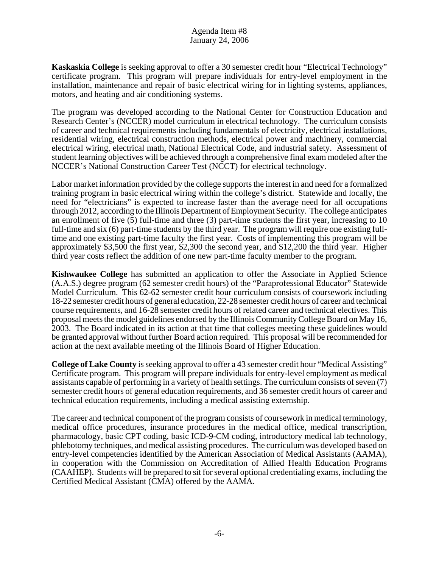**Kaskaskia College** is seeking approval to offer a 30 semester credit hour "Electrical Technology" certificate program. This program will prepare individuals for entry-level employment in the installation, maintenance and repair of basic electrical wiring for in lighting systems, appliances, motors, and heating and air conditioning systems.

The program was developed according to the National Center for Construction Education and Research Center's (NCCER) model curriculum in electrical technology. The curriculum consists of career and technical requirements including fundamentals of electricity, electrical installations, residential wiring, electrical construction methods, electrical power and machinery, commercial electrical wiring, electrical math, National Electrical Code, and industrial safety. Assessment of student learning objectives will be achieved through a comprehensive final exam modeled after the NCCER's National Construction Career Test (NCCT) for electrical technology.

Labor market information provided by the college supports the interest in and need for a formalized training program in basic electrical wiring within the college's district. Statewide and locally, the need for "electricians" is expected to increase faster than the average need for all occupations through 2012, according to the Illinois Department of Employment Security. The college anticipates an enrollment of five (5) full-time and three (3) part-time students the first year, increasing to 10 full-time and six (6) part-time students by the third year. The program will require one existing fulltime and one existing part-time faculty the first year. Costs of implementing this program will be approximately \$3,500 the first year, \$2,300 the second year, and \$12,200 the third year. Higher third year costs reflect the addition of one new part-time faculty member to the program.

**Kishwaukee College** has submitted an application to offer the Associate in Applied Science (A.A.S.) degree program (62 semester credit hours) of the "Paraprofessional Educator" Statewide Model Curriculum. This 62-62 semester credit hour curriculum consists of coursework including 18-22 semester credit hours of general education, 22-28 semester credit hours of career and technical course requirements, and 16-28 semester credit hours of related career and technical electives. This proposal meets the model guidelines endorsed by the Illinois Community College Board on May 16, 2003. The Board indicated in its action at that time that colleges meeting these guidelines would be granted approval without further Board action required. This proposal will be recommended for action at the next available meeting of the Illinois Board of Higher Education.

**College of Lake County** is seeking approval to offer a 43 semester credit hour "Medical Assisting" Certificate program. This program will prepare individuals for entry-level employment as medical assistants capable of performing in a variety of health settings. The curriculum consists of seven (7) semester credit hours of general education requirements, and 36 semester credit hours of career and technical education requirements, including a medical assisting externship.

The career and technical component of the program consists of coursework in medical terminology, medical office procedures, insurance procedures in the medical office, medical transcription, pharmacology, basic CPT coding, basic ICD-9-CM coding, introductory medical lab technology, phlebotomy techniques, and medical assisting procedures. The curriculum was developed based on entry-level competencies identified by the American Association of Medical Assistants (AAMA), in cooperation with the Commission on Accreditation of Allied Health Education Programs (CAAHEP). Students will be prepared to sit for several optional credentialing exams, including the Certified Medical Assistant (CMA) offered by the AAMA.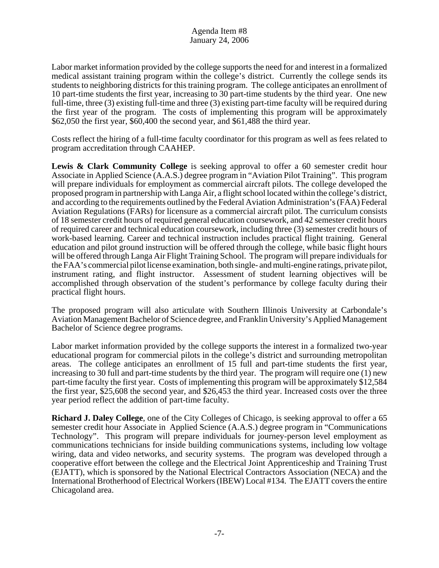Labor market information provided by the college supports the need for and interest in a formalized medical assistant training program within the college's district. Currently the college sends its students to neighboring districts for this training program. The college anticipates an enrollment of 10 part-time students the first year, increasing to 30 part-time students by the third year. One new full-time, three (3) existing full-time and three (3) existing part-time faculty will be required during the first year of the program. The costs of implementing this program will be approximately \$62,050 the first year, \$60,400 the second year, and \$61,488 the third year.

Costs reflect the hiring of a full-time faculty coordinator for this program as well as fees related to program accreditation through CAAHEP.

**Lewis & Clark Community College** is seeking approval to offer a 60 semester credit hour Associate in Applied Science (A.A.S.) degree program in "Aviation Pilot Training". This program will prepare individuals for employment as commercial aircraft pilots. The college developed the proposed program in partnership with Langa Air, a flight school located within the college's district, and according to the requirements outlined by the Federal Aviation Administration's (FAA) Federal Aviation Regulations (FARs) for licensure as a commercial aircraft pilot. The curriculum consists of 18 semester credit hours of required general education coursework, and 42 semester credit hours of required career and technical education coursework, including three (3) semester credit hours of work-based learning. Career and technical instruction includes practical flight training. General education and pilot ground instruction will be offered through the college, while basic flight hours will be offered through Langa Air Flight Training School. The program will prepare individuals for the FAA's commercial pilot license examination, both single- and multi-engine ratings, private pilot, instrument rating, and flight instructor. Assessment of student learning objectives will be accomplished through observation of the student's performance by college faculty during their practical flight hours.

The proposed program will also articulate with Southern Illinois University at Carbondale's Aviation Management Bachelor of Science degree, and Franklin University's Applied Management Bachelor of Science degree programs.

Labor market information provided by the college supports the interest in a formalized two-year educational program for commercial pilots in the college's district and surrounding metropolitan areas. The college anticipates an enrollment of 15 full and part-time students the first year, increasing to 30 full and part-time students by the third year. The program will require one (1) new part-time faculty the first year. Costs of implementing this program will be approximately \$12,584 the first year, \$25,608 the second year, and \$26,453 the third year. Increased costs over the three year period reflect the addition of part-time faculty.

**Richard J. Daley College**, one of the City Colleges of Chicago, is seeking approval to offer a 65 semester credit hour Associate in Applied Science (A.A.S.) degree program in "Communications Technology". This program will prepare individuals for journey-person level employment as communications technicians for inside building communications systems, including low voltage wiring, data and video networks, and security systems. The program was developed through a cooperative effort between the college and the Electrical Joint Apprenticeship and Training Trust (EJATT), which is sponsored by the National Electrical Contractors Association (NECA) and the International Brotherhood of Electrical Workers (IBEW) Local #134. The EJATT covers the entire Chicagoland area.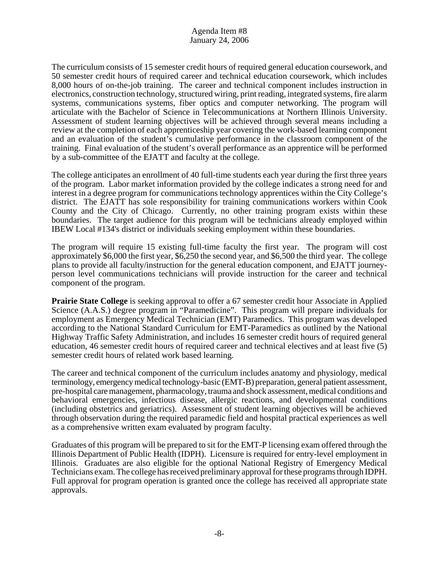The curriculum consists of 15 semester credit hours of required general education coursework, and 50 semester credit hours of required career and technical education coursework, which includes 8,000 hours of on-the-job training. The career and technical component includes instruction in electronics, construction technology, structured wiring, print reading, integrated systems, fire alarm systems, communications systems, fiber optics and computer networking. The program will articulate with the Bachelor of Science in Telecommunications at Northern Illinois University. Assessment of student learning objectives will be achieved through several means including a review at the completion of each apprenticeship year covering the work-based learning component and an evaluation of the student's cumulative performance in the classroom component of the training. Final evaluation of the student's overall performance as an apprentice will be performed by a sub-committee of the EJATT and faculty at the college.

The college anticipates an enrollment of 40 full-time students each year during the first three years of the program. Labor market information provided by the college indicates a strong need for and interest in a degree program for communications technology apprentices within the City College's district. The EJATT has sole responsibility for training communications workers within Cook County and the City of Chicago. Currently, no other training program exists within these boundaries. The target audience for this program will be technicians already employed within IBEW Local #134's district or individuals seeking employment within these boundaries.

The program will require 15 existing full-time faculty the first year. The program will cost approximately \$6,000 the first year, \$6,250 the second year, and \$6,500 the third year. The college plans to provide all faculty/instruction for the general education component, and EJATT journeyperson level communications technicians will provide instruction for the career and technical component of the program.

**Prairie State College** is seeking approval to offer a 67 semester credit hour Associate in Applied Science (A.A.S.) degree program in "Paramedicine". This program will prepare individuals for employment as Emergency Medical Technician (EMT) Paramedics. This program was developed according to the National Standard Curriculum for EMT-Paramedics as outlined by the National Highway Traffic Safety Administration, and includes 16 semester credit hours of required general education, 46 semester credit hours of required career and technical electives and at least five (5) semester credit hours of related work based learning.

The career and technical component of the curriculum includes anatomy and physiology, medical terminology, emergency medical technology-basic (EMT-B) preparation, general patient assessment, pre-hospital care management, pharmacology, trauma and shock assessment, medical conditions and behavioral emergencies, infectious disease, allergic reactions, and developmental conditions (including obstetrics and geriatrics). Assessment of student learning objectives will be achieved through observation during the required paramedic field and hospital practical experiences as well as a comprehensive written exam evaluated by program faculty.

Graduates of this program will be prepared to sit for the EMT-P licensing exam offered through the Illinois Department of Public Health (IDPH). Licensure is required for entry-level employment in Illinois. Graduates are also eligible for the optional National Registry of Emergency Medical Technicians exam. The college has received preliminary approval for these programs through IDPH. Full approval for program operation is granted once the college has received all appropriate state approvals.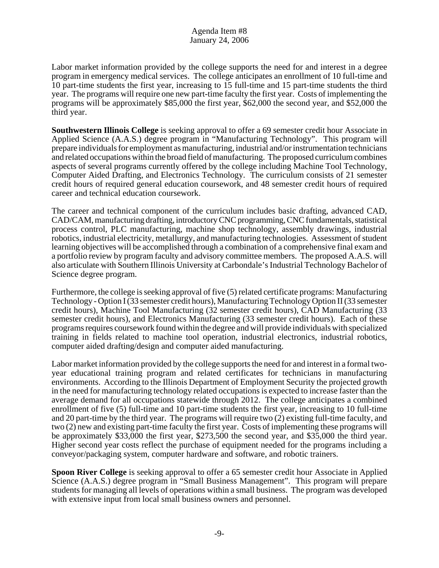Labor market information provided by the college supports the need for and interest in a degree program in emergency medical services. The college anticipates an enrollment of 10 full-time and 10 part-time students the first year, increasing to 15 full-time and 15 part-time students the third year. The programs will require one new part-time faculty the first year. Costs of implementing the programs will be approximately \$85,000 the first year, \$62,000 the second year, and \$52,000 the third year.

**Southwestern Illinois College** is seeking approval to offer a 69 semester credit hour Associate in Applied Science (A.A.S.) degree program in "Manufacturing Technology". This program will prepare individuals for employment as manufacturing, industrial and/or instrumentation technicians and related occupations within the broad field of manufacturing. The proposed curriculum combines aspects of several programs currently offered by the college including Machine Tool Technology, Computer Aided Drafting, and Electronics Technology. The curriculum consists of 21 semester credit hours of required general education coursework, and 48 semester credit hours of required career and technical education coursework.

The career and technical component of the curriculum includes basic drafting, advanced CAD, CAD/CAM, manufacturing drafting, introductory CNC programming, CNC fundamentals, statistical process control, PLC manufacturing, machine shop technology, assembly drawings, industrial robotics, industrial electricity, metallurgy, and manufacturing technologies. Assessment of student learning objectives will be accomplished through a combination of a comprehensive final exam and a portfolio review by program faculty and advisory committee members. The proposed A.A.S. will also articulate with Southern Illinois University at Carbondale's Industrial Technology Bachelor of Science degree program.

Furthermore, the college is seeking approval of five (5) related certificate programs: Manufacturing Technology - Option I (33 semester credit hours), Manufacturing Technology Option II (33 semester credit hours), Machine Tool Manufacturing (32 semester credit hours), CAD Manufacturing (33 semester credit hours), and Electronics Manufacturing (33 semester credit hours). Each of these programs requires coursework found within the degree and will provide individuals with specialized training in fields related to machine tool operation, industrial electronics, industrial robotics, computer aided drafting/design and computer aided manufacturing.

Labor market information provided by the college supports the need for and interest in a formal twoyear educational training program and related certificates for technicians in manufacturing environments. According to the Illinois Department of Employment Security the projected growth in the need for manufacturing technology related occupations is expected to increase faster than the average demand for all occupations statewide through 2012. The college anticipates a combined enrollment of five (5) full-time and 10 part-time students the first year, increasing to 10 full-time and 20 part-time by the third year. The programs will require two (2) existing full-time faculty, and two (2) new and existing part-time faculty the first year. Costs of implementing these programs will be approximately \$33,000 the first year, \$273,500 the second year, and \$35,000 the third year. Higher second year costs reflect the purchase of equipment needed for the programs including a conveyor/packaging system, computer hardware and software, and robotic trainers.

**Spoon River College** is seeking approval to offer a 65 semester credit hour Associate in Applied Science (A.A.S.) degree program in "Small Business Management". This program will prepare students for managing all levels of operations within a small business. The program was developed with extensive input from local small business owners and personnel.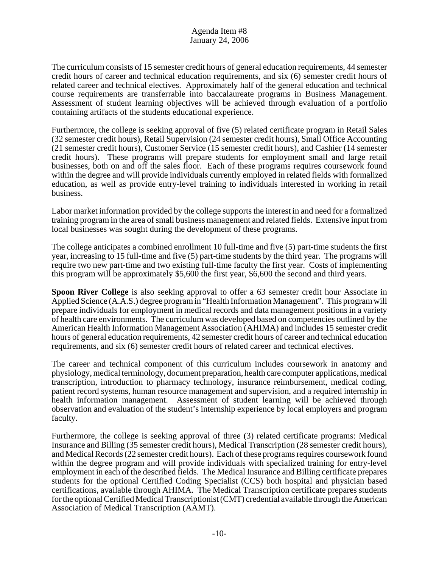The curriculum consists of 15 semester credit hours of general education requirements, 44 semester credit hours of career and technical education requirements, and six (6) semester credit hours of related career and technical electives. Approximately half of the general education and technical course requirements are transferrable into baccalaureate programs in Business Management. Assessment of student learning objectives will be achieved through evaluation of a portfolio containing artifacts of the students educational experience.

Furthermore, the college is seeking approval of five (5) related certificate program in Retail Sales (32 semester credit hours), Retail Supervision (24 semester credit hours), Small Office Accounting (21 semester credit hours), Customer Service (15 semester credit hours), and Cashier (14 semester credit hours). These programs will prepare students for employment small and large retail businesses, both on and off the sales floor. Each of these programs requires coursework found within the degree and will provide individuals currently employed in related fields with formalized education, as well as provide entry-level training to individuals interested in working in retail business.

Labor market information provided by the college supports the interest in and need for a formalized training program in the area of small business management and related fields. Extensive input from local businesses was sought during the development of these programs.

The college anticipates a combined enrollment 10 full-time and five (5) part-time students the first year, increasing to 15 full-time and five (5) part-time students by the third year. The programs will require two new part-time and two existing full-time faculty the first year. Costs of implementing this program will be approximately \$5,600 the first year, \$6,600 the second and third years.

**Spoon River College** is also seeking approval to offer a 63 semester credit hour Associate in Applied Science (A.A.S.) degree program in "Health Information Management". This program will prepare individuals for employment in medical records and data management positions in a variety of health care environments. The curriculum was developed based on competencies outlined by the American Health Information Management Association (AHIMA) and includes 15 semester credit hours of general education requirements, 42 semester credit hours of career and technical education requirements, and six (6) semester credit hours of related career and technical electives.

The career and technical component of this curriculum includes coursework in anatomy and physiology, medical terminology, document preparation, health care computer applications, medical transcription, introduction to pharmacy technology, insurance reimbursement, medical coding, patient record systems, human resource management and supervision, and a required internship in health information management. Assessment of student learning will be achieved through observation and evaluation of the student's internship experience by local employers and program faculty.

Furthermore, the college is seeking approval of three (3) related certificate programs: Medical Insurance and Billing (35 semester credit hours), Medical Transcription (28 semester credit hours), and Medical Records (22 semester credit hours). Each of these programs requires coursework found within the degree program and will provide individuals with specialized training for entry-level employment in each of the described fields. The Medical Insurance and Billing certificate prepares students for the optional Certified Coding Specialist (CCS) both hospital and physician based certifications, available through AHIMA. The Medical Transcription certificate prepares students for the optional Certified Medical Transcriptionist (CMT) credential available through the American Association of Medical Transcription (AAMT).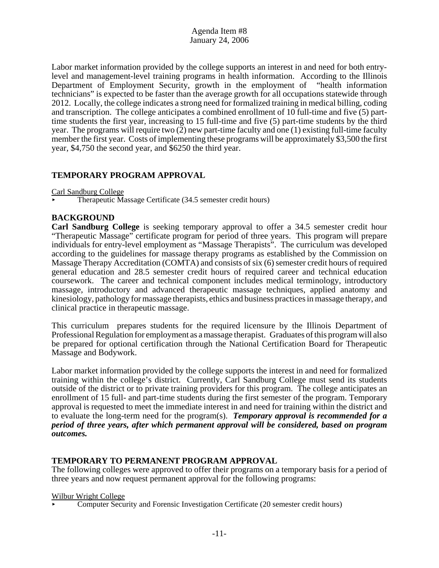Labor market information provided by the college supports an interest in and need for both entrylevel and management-level training programs in health information. According to the Illinois Department of Employment Security, growth in the employment of "health information technicians" is expected to be faster than the average growth for all occupations statewide through 2012. Locally, the college indicates a strong need for formalized training in medical billing, coding and transcription. The college anticipates a combined enrollment of 10 full-time and five (5) parttime students the first year, increasing to 15 full-time and five (5) part-time students by the third year. The programs will require two (2) new part-time faculty and one (1) existing full-time faculty member the first year. Costs of implementing these programs will be approximately \$3,500 the first year, \$4,750 the second year, and \$6250 the third year.

# **TEMPORARY PROGRAM APPROVAL**

Carl Sandburg College

< Therapeutic Massage Certificate (34.5 semester credit hours)

## **BACKGROUND**

**Carl Sandburg College** is seeking temporary approval to offer a 34.5 semester credit hour "Therapeutic Massage" certificate program for period of three years. This program will prepare individuals for entry-level employment as "Massage Therapists". The curriculum was developed according to the guidelines for massage therapy programs as established by the Commission on Massage Therapy Accreditation (COMTA) and consists of six (6) semester credit hours of required general education and 28.5 semester credit hours of required career and technical education coursework. The career and technical component includes medical terminology, introductory massage, introductory and advanced therapeutic massage techniques, applied anatomy and kinesiology, pathology for massage therapists, ethics and business practices in massage therapy, and clinical practice in therapeutic massage.

This curriculum prepares students for the required licensure by the Illinois Department of Professional Regulation for employment as a massage therapist. Graduates of this program will also be prepared for optional certification through the National Certification Board for Therapeutic Massage and Bodywork.

Labor market information provided by the college supports the interest in and need for formalized training within the college's district. Currently, Carl Sandburg College must send its students outside of the district or to private training providers for this program. The college anticipates an enrollment of 15 full- and part-time students during the first semester of the program. Temporary approval is requested to meet the immediate interest in and need for training within the district and to evaluate the long-term need for the program(s). *Temporary approval is recommended for a period of three years, after which permanent approval will be considered, based on program outcomes.*

## **TEMPORARY TO PERMANENT PROGRAM APPROVAL**

The following colleges were approved to offer their programs on a temporary basis for a period of three years and now request permanent approval for the following programs:

#### Wilbur Wright College

< Computer Security and Forensic Investigation Certificate (20 semester credit hours)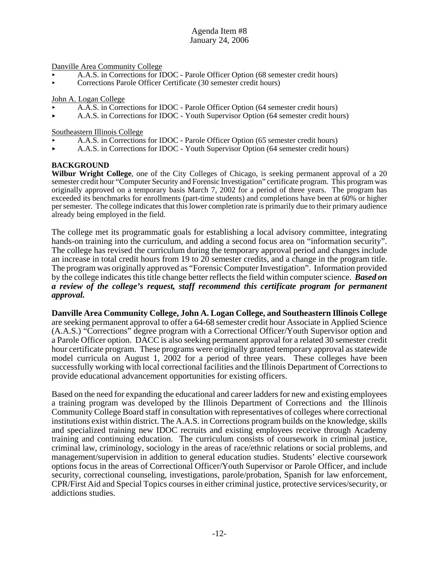Danville Area Community College

- < A.A.S. in Corrections for IDOC Parole Officer Option (68 semester credit hours)
- < Corrections Parole Officer Certificate (30 semester credit hours)

John A. Logan College

- < A.A.S. in Corrections for IDOC Parole Officer Option (64 semester credit hours)
- < A.A.S. in Corrections for IDOC Youth Supervisor Option (64 semester credit hours)

Southeastern Illinois College

- < A.A.S. in Corrections for IDOC Parole Officer Option (65 semester credit hours)
- < A.A.S. in Corrections for IDOC Youth Supervisor Option (64 semester credit hours)

#### **BACKGROUND**

**Wilbur Wright College**, one of the City Colleges of Chicago, is seeking permanent approval of a 20 semester credit hour "Computer Security and Forensic Investigation" certificate program. This program was originally approved on a temporary basis March 7, 2002 for a period of three years. The program has exceeded its benchmarks for enrollments (part-time students) and completions have been at 60% or higher per semester. The college indicates that this lower completion rate is primarily due to their primary audience already being employed in the field.

The college met its programmatic goals for establishing a local advisory committee, integrating hands-on training into the curriculum, and adding a second focus area on "information security". The college has revised the curriculum during the temporary approval period and changes include an increase in total credit hours from 19 to 20 semester credits, and a change in the program title. The program was originally approved as "Forensic Computer Investigation". Information provided by the college indicates this title change better reflects the field within computer science. *Based on a review of the college's request, staff recommend this certificate program for permanent approval.* 

**Danville Area Community College, John A. Logan College, and Southeastern Illinois College** are seeking permanent approval to offer a 64-68 semester credit hour Associate in Applied Science (A.A.S.) "Corrections" degree program with a Correctional Officer/Youth Supervisor option and a Parole Officer option. DACC is also seeking permanent approval for a related 30 semester credit hour certificate program. These programs were originally granted temporary approval as statewide model curricula on August 1, 2002 for a period of three years. These colleges have been successfully working with local correctional facilities and the Illinois Department of Corrections to provide educational advancement opportunities for existing officers.

Based on the need for expanding the educational and career ladders for new and existing employees a training program was developed by the Illinois Department of Corrections and the Illinois Community College Board staff in consultation with representatives of colleges where correctional institutions exist within district. The A.A.S. in Corrections program builds on the knowledge, skills and specialized training new IDOC recruits and existing employees receive through Academy training and continuing education. The curriculum consists of coursework in criminal justice, criminal law, criminology, sociology in the areas of race/ethnic relations or social problems, and management/supervision in addition to general education studies. Students' elective coursework options focus in the areas of Correctional Officer/Youth Supervisor or Parole Officer, and include security, correctional counseling, investigations, parole/probation, Spanish for law enforcement, CPR/First Aid and Special Topics courses in either criminal justice, protective services/security, or addictions studies.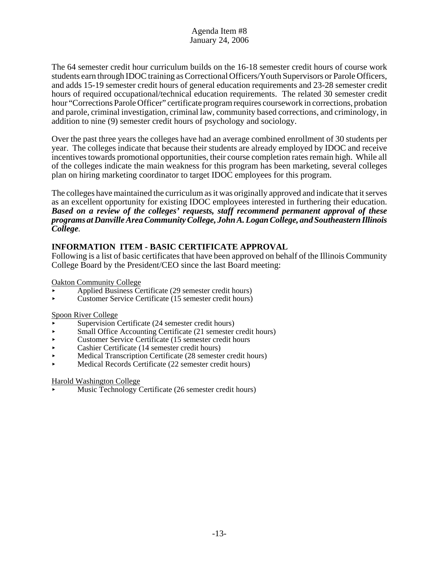The 64 semester credit hour curriculum builds on the 16-18 semester credit hours of course work students earn through IDOC training as Correctional Officers/Youth Supervisors or Parole Officers, and adds 15-19 semester credit hours of general education requirements and 23-28 semester credit hours of required occupational/technical education requirements. The related 30 semester credit hour "Corrections Parole Officer" certificate program requires coursework in corrections, probation and parole, criminal investigation, criminal law, community based corrections, and criminology, in addition to nine (9) semester credit hours of psychology and sociology.

Over the past three years the colleges have had an average combined enrollment of 30 students per year. The colleges indicate that because their students are already employed by IDOC and receive incentives towards promotional opportunities, their course completion rates remain high. While all of the colleges indicate the main weakness for this program has been marketing, several colleges plan on hiring marketing coordinator to target IDOC employees for this program.

The colleges have maintained the curriculum as it was originally approved and indicate that it serves as an excellent opportunity for existing IDOC employees interested in furthering their education. *Based on a review of the colleges' requests, staff recommend permanent approval of these programs at Danville Area Community College, John A. Logan College, and Southeastern Illinois College.* 

# **INFORMATION ITEM - BASIC CERTIFICATE APPROVAL**

Following is a list of basic certificates that have been approved on behalf of the Illinois Community College Board by the President/CEO since the last Board meeting:

Oakton Community College

- < Applied Business Certificate (29 semester credit hours)
- < Customer Service Certificate (15 semester credit hours)

## Spoon River College

- Supervision Certificate (24 semester credit hours)
- Small Office Accounting Certificate (21 semester credit hours)
- $\triangleright$  Customer Service Certificate (15 semester credit hours
- < Cashier Certificate (14 semester credit hours)
- < Medical Transcription Certificate (28 semester credit hours)
- Medical Records Certificate (22 semester credit hours)

#### Harold Washington College

Music Technology Certificate (26 semester credit hours)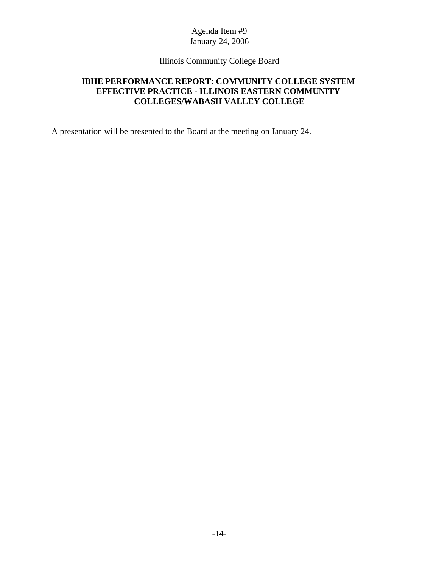Illinois Community College Board

# **IBHE PERFORMANCE REPORT: COMMUNITY COLLEGE SYSTEM EFFECTIVE PRACTICE - ILLINOIS EASTERN COMMUNITY COLLEGES/WABASH VALLEY COLLEGE**

A presentation will be presented to the Board at the meeting on January 24.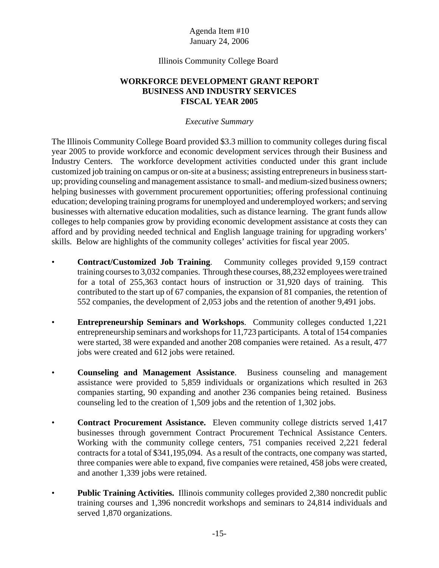## Illinois Community College Board

# **WORKFORCE DEVELOPMENT GRANT REPORT BUSINESS AND INDUSTRY SERVICES FISCAL YEAR 2005**

## *Executive Summary*

The Illinois Community College Board provided \$3.3 million to community colleges during fiscal year 2005 to provide workforce and economic development services through their Business and Industry Centers. The workforce development activities conducted under this grant include customized job training on campus or on-site at a business; assisting entrepreneurs in business startup; providing counseling and management assistance to small- and medium-sized business owners; helping businesses with government procurement opportunities; offering professional continuing education; developing training programs for unemployed and underemployed workers; and serving businesses with alternative education modalities, such as distance learning. The grant funds allow colleges to help companies grow by providing economic development assistance at costs they can afford and by providing needed technical and English language training for upgrading workers' skills. Below are highlights of the community colleges' activities for fiscal year 2005.

- **Contract/Customized Job Training**. Community colleges provided 9,159 contract training courses to 3,032 companies. Through these courses, 88,232 employees were trained for a total of 255,363 contact hours of instruction or 31,920 days of training. This contributed to the start up of 67 companies, the expansion of 81 companies, the retention of 552 companies, the development of 2,053 jobs and the retention of another 9,491 jobs.
- **Entrepreneurship Seminars and Workshops**. Community colleges conducted 1,221 entrepreneurship seminars and workshops for 11,723 participants. A total of 154 companies were started, 38 were expanded and another 208 companies were retained. As a result, 477 jobs were created and 612 jobs were retained.
- **Counseling and Management Assistance**. Business counseling and management assistance were provided to 5,859 individuals or organizations which resulted in 263 companies starting, 90 expanding and another 236 companies being retained. Business counseling led to the creation of 1,509 jobs and the retention of 1,302 jobs.
- **Contract Procurement Assistance.** Eleven community college districts served 1,417 businesses through government Contract Procurement Technical Assistance Centers. Working with the community college centers, 751 companies received 2,221 federal contracts for a total of \$341,195,094. As a result of the contracts, one company was started, three companies were able to expand, five companies were retained, 458 jobs were created, and another 1,339 jobs were retained.
- **Public Training Activities.** Illinois community colleges provided 2,380 noncredit public training courses and 1,396 noncredit workshops and seminars to 24,814 individuals and served 1,870 organizations.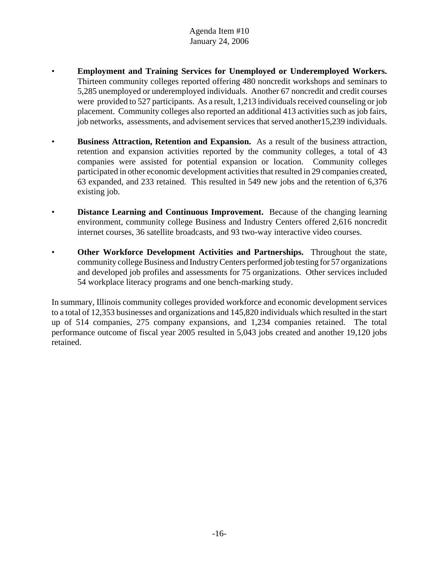- **Employment and Training Services for Unemployed or Underemployed Workers.** Thirteen community colleges reported offering 480 noncredit workshops and seminars to 5,285 unemployed or underemployed individuals. Another 67 noncredit and credit courses were provided to 527 participants. As a result, 1,213 individuals received counseling or job placement. Community colleges also reported an additional 413 activities such as job fairs, job networks, assessments, and advisement services that served another15,239 individuals.
- **Business Attraction, Retention and Expansion.** As a result of the business attraction, retention and expansion activities reported by the community colleges, a total of 43 companies were assisted for potential expansion or location. Community colleges participated in other economic development activities that resulted in 29 companies created, 63 expanded, and 233 retained. This resulted in 549 new jobs and the retention of 6,376 existing job.
- **Distance Learning and Continuous Improvement.** Because of the changing learning environment, community college Business and Industry Centers offered 2,616 noncredit internet courses, 36 satellite broadcasts, and 93 two-way interactive video courses.
- **Other Workforce Development Activities and Partnerships.** Throughout the state, community college Business and Industry Centers performed job testing for 57 organizations and developed job profiles and assessments for 75 organizations. Other services included 54 workplace literacy programs and one bench-marking study.

In summary, Illinois community colleges provided workforce and economic development services to a total of 12,353 businesses and organizations and 145,820 individuals which resulted in the start up of 514 companies, 275 company expansions, and 1,234 companies retained. The total performance outcome of fiscal year 2005 resulted in 5,043 jobs created and another 19,120 jobs retained.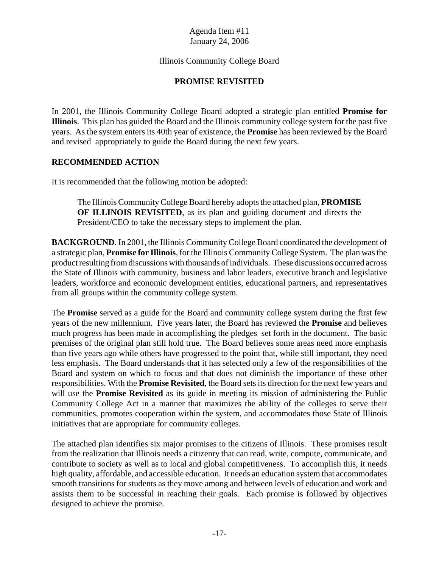# Illinois Community College Board

# **PROMISE REVISITED**

In 2001, the Illinois Community College Board adopted a strategic plan entitled **Promise for Illinois**. This plan has guided the Board and the Illinois community college system for the past five years. As the system enters its 40th year of existence, the **Promise** has been reviewed by the Board and revised appropriately to guide the Board during the next few years.

# **RECOMMENDED ACTION**

It is recommended that the following motion be adopted:

The Illinois Community College Board hereby adopts the attached plan, **PROMISE OF ILLINOIS REVISITED**, as its plan and guiding document and directs the President/CEO to take the necessary steps to implement the plan.

**BACKGROUND**. In 2001, the Illinois Community College Board coordinated the development of a strategic plan, **Promise for Illinois**, for the Illinois Community College System. The plan was the product resulting from discussions with thousands of individuals. These discussions occurred across the State of Illinois with community, business and labor leaders, executive branch and legislative leaders, workforce and economic development entities, educational partners, and representatives from all groups within the community college system.

The **Promise** served as a guide for the Board and community college system during the first few years of the new millennium. Five years later, the Board has reviewed the **Promise** and believes much progress has been made in accomplishing the pledges set forth in the document. The basic premises of the original plan still hold true. The Board believes some areas need more emphasis than five years ago while others have progressed to the point that, while still important, they need less emphasis. The Board understands that it has selected only a few of the responsibilities of the Board and system on which to focus and that does not diminish the importance of these other responsibilities. With the **Promise Revisited**, the Board sets its direction for the next few years and will use the **Promise Revisited** as its guide in meeting its mission of administering the Public Community College Act in a manner that maximizes the ability of the colleges to serve their communities, promotes cooperation within the system, and accommodates those State of Illinois initiatives that are appropriate for community colleges.

The attached plan identifies six major promises to the citizens of Illinois. These promises result from the realization that Illinois needs a citizenry that can read, write, compute, communicate, and contribute to society as well as to local and global competitiveness. To accomplish this, it needs high quality, affordable, and accessible education. It needs an education system that accommodates smooth transitions for students as they move among and between levels of education and work and assists them to be successful in reaching their goals. Each promise is followed by objectives designed to achieve the promise.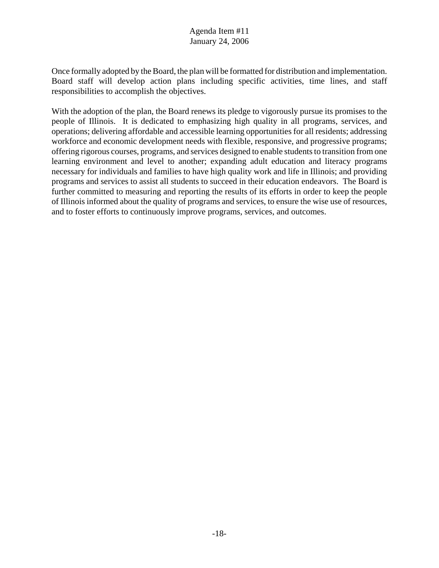Once formally adopted by the Board, the plan will be formatted for distribution and implementation. Board staff will develop action plans including specific activities, time lines, and staff responsibilities to accomplish the objectives.

With the adoption of the plan, the Board renews its pledge to vigorously pursue its promises to the people of Illinois. It is dedicated to emphasizing high quality in all programs, services, and operations; delivering affordable and accessible learning opportunities for all residents; addressing workforce and economic development needs with flexible, responsive, and progressive programs; offering rigorous courses, programs, and services designed to enable students to transition from one learning environment and level to another; expanding adult education and literacy programs necessary for individuals and families to have high quality work and life in Illinois; and providing programs and services to assist all students to succeed in their education endeavors. The Board is further committed to measuring and reporting the results of its efforts in order to keep the people of Illinois informed about the quality of programs and services, to ensure the wise use of resources, and to foster efforts to continuously improve programs, services, and outcomes.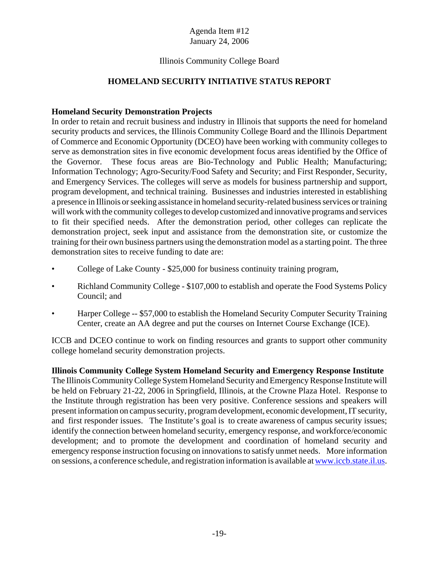# Illinois Community College Board

# **HOMELAND SECURITY INITIATIVE STATUS REPORT**

# **Homeland Security Demonstration Projects**

In order to retain and recruit business and industry in Illinois that supports the need for homeland security products and services, the Illinois Community College Board and the Illinois Department of Commerce and Economic Opportunity (DCEO) have been working with community colleges to serve as demonstration sites in five economic development focus areas identified by the Office of the Governor. These focus areas are Bio-Technology and Public Health; Manufacturing; Information Technology; Agro-Security/Food Safety and Security; and First Responder, Security, and Emergency Services. The colleges will serve as models for business partnership and support, program development, and technical training. Businesses and industries interested in establishing a presence in Illinois or seeking assistance in homeland security-related business services or training will work with the community colleges to develop customized and innovative programs and services to fit their specified needs. After the demonstration period, other colleges can replicate the demonstration project, seek input and assistance from the demonstration site, or customize the training for their own business partners using the demonstration model as a starting point. The three demonstration sites to receive funding to date are:

- College of Lake County \$25,000 for business continuity training program,
- Richland Community College \$107,000 to establish and operate the Food Systems Policy Council; and
- Harper College -- \$57,000 to establish the Homeland Security Computer Security Training Center, create an AA degree and put the courses on Internet Course Exchange (ICE).

ICCB and DCEO continue to work on finding resources and grants to support other community college homeland security demonstration projects.

**Illinois Community College System Homeland Security and Emergency Response Institute** The Illinois Community College System Homeland Security and Emergency Response Institute will be held on February 21-22, 2006 in Springfield, Illinois, at the Crowne Plaza Hotel. Response to the Institute through registration has been very positive. Conference sessions and speakers will present information on campus security, program development, economic development, IT security, and first responder issues. The Institute's goal is to create awareness of campus security issues; identify the connection between homeland security, emergency response, and workforce/economic development; and to promote the development and coordination of homeland security and emergency response instruction focusing on innovations to satisfy unmet needs. More information on sessions, a conference schedule, and registration information is available at www.iccb.state.il.us.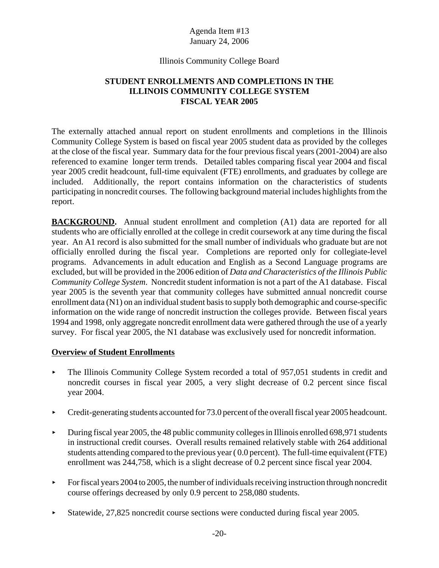# Illinois Community College Board

# **STUDENT ENROLLMENTS AND COMPLETIONS IN THE ILLINOIS COMMUNITY COLLEGE SYSTEM FISCAL YEAR 2005**

The externally attached annual report on student enrollments and completions in the Illinois Community College System is based on fiscal year 2005 student data as provided by the colleges at the close of the fiscal year. Summary data for the four previous fiscal years (2001-2004) are also referenced to examine longer term trends. Detailed tables comparing fiscal year 2004 and fiscal year 2005 credit headcount, full-time equivalent (FTE) enrollments, and graduates by college are included. Additionally, the report contains information on the characteristics of students participating in noncredit courses. The following background material includes highlights from the report.

**BACKGROUND.** Annual student enrollment and completion (A1) data are reported for all students who are officially enrolled at the college in credit coursework at any time during the fiscal year. An A1 record is also submitted for the small number of individuals who graduate but are not officially enrolled during the fiscal year. Completions are reported only for collegiate-level programs. Advancements in adult education and English as a Second Language programs are excluded, but will be provided in the 2006 edition of *Data and Characteristics of the Illinois Public Community College System*. Noncredit student information is not a part of the A1 database. Fiscal year 2005 is the seventh year that community colleges have submitted annual noncredit course enrollment data (N1) on an individual student basis to supply both demographic and course-specific information on the wide range of noncredit instruction the colleges provide. Between fiscal years 1994 and 1998, only aggregate noncredit enrollment data were gathered through the use of a yearly survey. For fiscal year 2005, the N1 database was exclusively used for noncredit information.

# **Overview of Student Enrollments**

- ► The Illinois Community College System recorded a total of 957,051 students in credit and noncredit courses in fiscal year 2005, a very slight decrease of 0.2 percent since fiscal year 2004.
- $\triangleright$  Credit-generating students accounted for 73.0 percent of the overall fiscal year 2005 headcount.
- $\blacktriangleright$  During fiscal year 2005, the 48 public community colleges in Illinois enrolled 698,971 students in instructional credit courses. Overall results remained relatively stable with 264 additional students attending compared to the previous year ( 0.0 percent). The full-time equivalent (FTE) enrollment was 244,758, which is a slight decrease of 0.2 percent since fiscal year 2004.
- $\blacktriangleright$  For fiscal years 2004 to 2005, the number of individuals receiving instruction through noncredit course offerings decreased by only 0.9 percent to 258,080 students.
- < Statewide, 27,825 noncredit course sections were conducted during fiscal year 2005.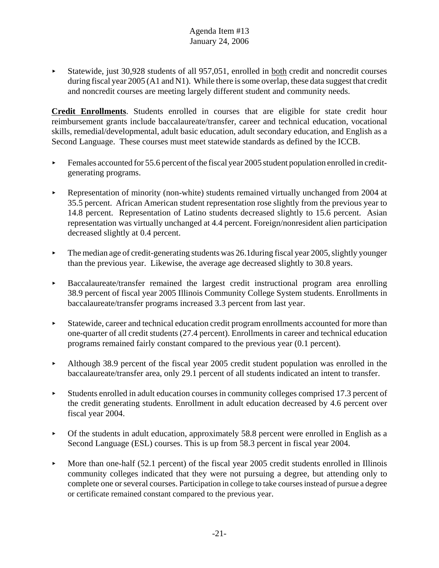< Statewide, just 30,928 students of all 957,051, enrolled in both credit and noncredit courses during fiscal year 2005 (A1 and N1). While there is some overlap, these data suggest that credit and noncredit courses are meeting largely different student and community needs.

**Credit Enrollments**. Students enrolled in courses that are eligible for state credit hour reimbursement grants include baccalaureate/transfer, career and technical education, vocational skills, remedial/developmental, adult basic education, adult secondary education, and English as a Second Language. These courses must meet statewide standards as defined by the ICCB.

- $\blacktriangleright$  Females accounted for 55.6 percent of the fiscal year 2005 student population enrolled in creditgenerating programs.
- < Representation of minority (non-white) students remained virtually unchanged from 2004 at 35.5 percent. African American student representation rose slightly from the previous year to 14.8 percent. Representation of Latino students decreased slightly to 15.6 percent. Asian representation was virtually unchanged at 4.4 percent. Foreign/nonresident alien participation decreased slightly at 0.4 percent.
- $\blacktriangleright$  The median age of credit-generating students was 26.1 during fiscal year 2005, slightly younger than the previous year. Likewise, the average age decreased slightly to 30.8 years.
- < Baccalaureate/transfer remained the largest credit instructional program area enrolling 38.9 percent of fiscal year 2005 Illinois Community College System students. Enrollments in baccalaureate/transfer programs increased 3.3 percent from last year.
- Statewide, career and technical education credit program enrollments accounted for more than one-quarter of all credit students (27.4 percent). Enrollments in career and technical education programs remained fairly constant compared to the previous year (0.1 percent).
- Although 38.9 percent of the fiscal year 2005 credit student population was enrolled in the baccalaureate/transfer area, only 29.1 percent of all students indicated an intent to transfer.
- $\blacktriangleright$  Students enrolled in adult education courses in community colleges comprised 17.3 percent of the credit generating students. Enrollment in adult education decreased by 4.6 percent over fiscal year 2004.
- $\triangleright$  Of the students in adult education, approximately 58.8 percent were enrolled in English as a Second Language (ESL) courses. This is up from 58.3 percent in fiscal year 2004.
- $\blacktriangleright$  More than one-half (52.1 percent) of the fiscal year 2005 credit students enrolled in Illinois community colleges indicated that they were not pursuing a degree, but attending only to complete one or several courses. Participation in college to take courses instead of pursue a degree or certificate remained constant compared to the previous year.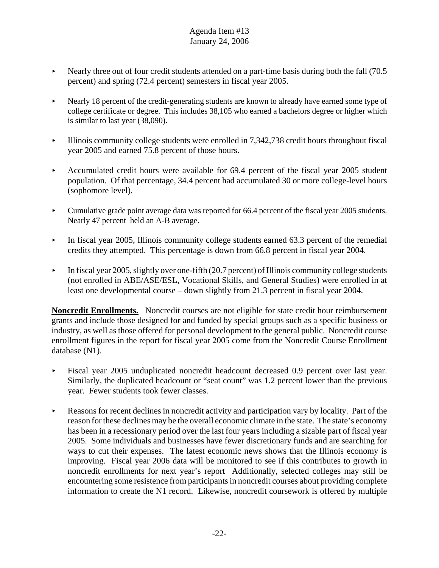- Nearly three out of four credit students attended on a part-time basis during both the fall  $(70.5)$ percent) and spring (72.4 percent) semesters in fiscal year 2005.
- riangleright Nearly 18 percent of the credit-generating students are known to already have earned some type of college certificate or degree. This includes 38,105 who earned a bachelors degree or higher which is similar to last year (38,090).
- $\blacktriangleright$  Illinois community college students were enrolled in 7,342,738 credit hours throughout fiscal year 2005 and earned 75.8 percent of those hours.
- Accumulated credit hours were available for 69.4 percent of the fiscal year 2005 student population. Of that percentage, 34.4 percent had accumulated 30 or more college-level hours (sophomore level).
- Cumulative grade point average data was reported for 66.4 percent of the fiscal year 2005 students. Nearly 47 percent held an A-B average.
- In fiscal year 2005, Illinois community college students earned  $63.3$  percent of the remedial credits they attempted. This percentage is down from 66.8 percent in fiscal year 2004.
- In fiscal year 2005, slightly over one-fifth (20.7 percent) of Illinois community college students (not enrolled in ABE/ASE/ESL, Vocational Skills, and General Studies) were enrolled in at least one developmental course – down slightly from 21.3 percent in fiscal year 2004.

**Noncredit Enrollments.** Noncredit courses are not eligible for state credit hour reimbursement grants and include those designed for and funded by special groups such as a specific business or industry, as well as those offered for personal development to the general public. Noncredit course enrollment figures in the report for fiscal year 2005 come from the Noncredit Course Enrollment database (N1).

- Fiscal year 2005 unduplicated noncredit headcount decreased 0.9 percent over last year. Similarly, the duplicated headcount or "seat count" was 1.2 percent lower than the previous year. Fewer students took fewer classes.
- Reasons for recent declines in noncredit activity and participation vary by locality. Part of the reason for these declines may be the overall economic climate in the state. The state's economy has been in a recessionary period over the last four years including a sizable part of fiscal year 2005. Some individuals and businesses have fewer discretionary funds and are searching for ways to cut their expenses. The latest economic news shows that the Illinois economy is improving. Fiscal year 2006 data will be monitored to see if this contributes to growth in noncredit enrollments for next year's report Additionally, selected colleges may still be encountering some resistence from participants in noncredit courses about providing complete information to create the N1 record. Likewise, noncredit coursework is offered by multiple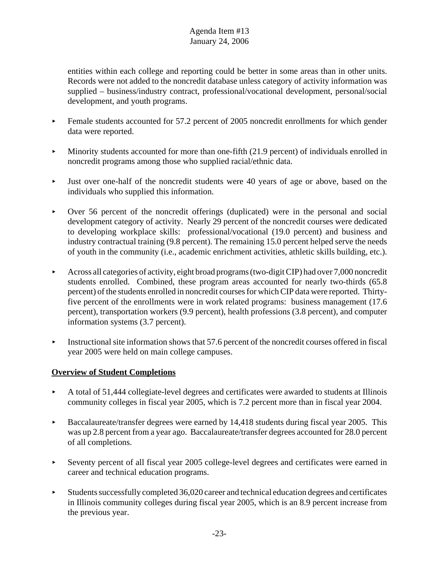entities within each college and reporting could be better in some areas than in other units. Records were not added to the noncredit database unless category of activity information was supplied – business/industry contract, professional/vocational development, personal/social development, and youth programs.

- Female students accounted for 57.2 percent of 2005 noncredit enrollments for which gender data were reported.
- $\blacktriangleright$  Minority students accounted for more than one-fifth (21.9 percent) of individuals enrolled in noncredit programs among those who supplied racial/ethnic data.
- < Just over one-half of the noncredit students were 40 years of age or above, based on the individuals who supplied this information.
- $\triangleright$  Over 56 percent of the noncredit offerings (duplicated) were in the personal and social development category of activity. Nearly 29 percent of the noncredit courses were dedicated to developing workplace skills: professional/vocational (19.0 percent) and business and industry contractual training (9.8 percent). The remaining 15.0 percent helped serve the needs of youth in the community (i.e., academic enrichment activities, athletic skills building, etc.).
- $\blacktriangleright$  Across all categories of activity, eight broad programs (two-digit CIP) had over 7,000 noncredit students enrolled. Combined, these program areas accounted for nearly two-thirds (65.8 percent) of the students enrolled in noncredit courses for which CIP data were reported. Thirtyfive percent of the enrollments were in work related programs: business management (17.6 percent), transportation workers (9.9 percent), health professions (3.8 percent), and computer information systems (3.7 percent).
- $\blacktriangleright$  Instructional site information shows that 57.6 percent of the noncredit courses offered in fiscal year 2005 were held on main college campuses.

# **Overview of Student Completions**

- A total of 51,444 collegiate-level degrees and certificates were awarded to students at Illinois community colleges in fiscal year 2005, which is 7.2 percent more than in fiscal year 2004.
- Baccalaureate/transfer degrees were earned by  $14,418$  students during fiscal year 2005. This was up 2.8 percent from a year ago. Baccalaureate/transfer degrees accounted for 28.0 percent of all completions.
- < Seventy percent of all fiscal year 2005 college-level degrees and certificates were earned in career and technical education programs.
- $\blacktriangleright$  Students successfully completed 36,020 career and technical education degrees and certificates in Illinois community colleges during fiscal year 2005, which is an 8.9 percent increase from the previous year.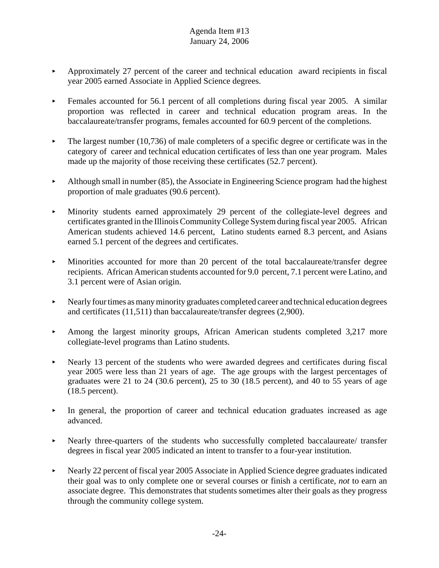- $\blacktriangleright$  Approximately 27 percent of the career and technical education award recipients in fiscal year 2005 earned Associate in Applied Science degrees.
- Females accounted for 56.1 percent of all completions during fiscal year 2005. A similar proportion was reflected in career and technical education program areas. In the baccalaureate/transfer programs, females accounted for 60.9 percent of the completions.
- $\blacktriangleright$  The largest number (10,736) of male completers of a specific degree or certificate was in the category of career and technical education certificates of less than one year program. Males made up the majority of those receiving these certificates (52.7 percent).
- $\blacktriangleright$  Although small in number (85), the Associate in Engineering Science program had the highest proportion of male graduates (90.6 percent).
- < Minority students earned approximately 29 percent of the collegiate-level degrees and certificates granted in the Illinois Community College System during fiscal year 2005. African American students achieved 14.6 percent, Latino students earned 8.3 percent, and Asians earned 5.1 percent of the degrees and certificates.
- < Minorities accounted for more than 20 percent of the total baccalaureate/transfer degree recipients. African American students accounted for 9.0 percent, 7.1 percent were Latino, and 3.1 percent were of Asian origin.
- $\blacktriangleright$  Nearly four times as many minority graduates completed career and technical education degrees and certificates (11,511) than baccalaureate/transfer degrees (2,900).
- $\blacktriangleright$  Among the largest minority groups, African American students completed 3,217 more collegiate-level programs than Latino students.
- Nearly 13 percent of the students who were awarded degrees and certificates during fiscal year 2005 were less than 21 years of age. The age groups with the largest percentages of graduates were 21 to 24 (30.6 percent), 25 to 30 (18.5 percent), and 40 to 55 years of age (18.5 percent).
- < In general, the proportion of career and technical education graduates increased as age advanced.
- Nearly three-quarters of the students who successfully completed baccalaureate/ transfer degrees in fiscal year 2005 indicated an intent to transfer to a four-year institution.
- riangleright Nearly 22 percent of fiscal year 2005 Associate in Applied Science degree graduates indicated their goal was to only complete one or several courses or finish a certificate, *not* to earn an associate degree. This demonstrates that students sometimes alter their goals as they progress through the community college system.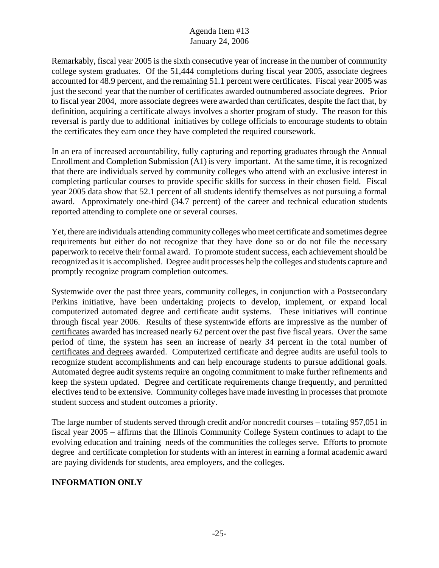Remarkably, fiscal year 2005 is the sixth consecutive year of increase in the number of community college system graduates. Of the 51,444 completions during fiscal year 2005, associate degrees accounted for 48.9 percent, and the remaining 51.1 percent were certificates. Fiscal year 2005 was just the second year that the number of certificates awarded outnumbered associate degrees. Prior to fiscal year 2004, more associate degrees were awarded than certificates, despite the fact that, by definition, acquiring a certificate always involves a shorter program of study. The reason for this reversal is partly due to additional initiatives by college officials to encourage students to obtain the certificates they earn once they have completed the required coursework.

In an era of increased accountability, fully capturing and reporting graduates through the Annual Enrollment and Completion Submission (A1) is very important. At the same time, it is recognized that there are individuals served by community colleges who attend with an exclusive interest in completing particular courses to provide specific skills for success in their chosen field. Fiscal year 2005 data show that 52.1 percent of all students identify themselves as not pursuing a formal award. Approximately one-third (34.7 percent) of the career and technical education students reported attending to complete one or several courses.

Yet, there are individuals attending community colleges who meet certificate and sometimes degree requirements but either do not recognize that they have done so or do not file the necessary paperwork to receive their formal award. To promote student success, each achievement should be recognized as it is accomplished. Degree audit processes help the colleges and students capture and promptly recognize program completion outcomes.

Systemwide over the past three years, community colleges, in conjunction with a Postsecondary Perkins initiative, have been undertaking projects to develop, implement, or expand local computerized automated degree and certificate audit systems. These initiatives will continue through fiscal year 2006. Results of these systemwide efforts are impressive as the number of certificates awarded has increased nearly 62 percent over the past five fiscal years. Over the same period of time, the system has seen an increase of nearly 34 percent in the total number of certificates and degrees awarded. Computerized certificate and degree audits are useful tools to recognize student accomplishments and can help encourage students to pursue additional goals. Automated degree audit systems require an ongoing commitment to make further refinements and keep the system updated. Degree and certificate requirements change frequently, and permitted electives tend to be extensive. Community colleges have made investing in processes that promote student success and student outcomes a priority.

The large number of students served through credit and/or noncredit courses – totaling 957,051 in fiscal year 2005 – affirms that the Illinois Community College System continues to adapt to the evolving education and training needs of the communities the colleges serve. Efforts to promote degree and certificate completion for students with an interest in earning a formal academic award are paying dividends for students, area employers, and the colleges.

# **INFORMATION ONLY**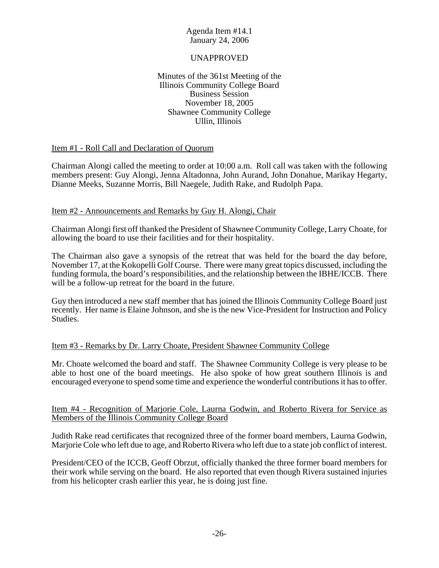## UNAPPROVED

#### Minutes of the 361st Meeting of the Illinois Community College Board Business Session November 18, 2005 Shawnee Community College Ullin, Illinois

## Item #1 - Roll Call and Declaration of Quorum

Chairman Alongi called the meeting to order at 10:00 a.m. Roll call was taken with the following members present: Guy Alongi, Jenna Altadonna, John Aurand, John Donahue, Marikay Hegarty, Dianne Meeks, Suzanne Morris, Bill Naegele, Judith Rake, and Rudolph Papa.

# Item #2 - Announcements and Remarks by Guy H. Alongi, Chair

Chairman Alongi first off thanked the President of Shawnee Community College, Larry Choate, for allowing the board to use their facilities and for their hospitality.

The Chairman also gave a synopsis of the retreat that was held for the board the day before, November 17, at the Kokopelli Golf Course. There were many great topics discussed, including the funding formula, the board's responsibilities, and the relationship between the IBHE/ICCB. There will be a follow-up retreat for the board in the future.

Guy then introduced a new staff member that has joined the Illinois Community College Board just recently. Her name is Elaine Johnson, and she is the new Vice-President for Instruction and Policy Studies.

## Item #3 - Remarks by Dr. Larry Choate, President Shawnee Community College

Mr. Choate welcomed the board and staff. The Shawnee Community College is very please to be able to host one of the board meetings. He also spoke of how great southern Illinois is and encouraged everyone to spend some time and experience the wonderful contributions it has to offer.

## Item #4 - Recognition of Marjorie Cole, Laurna Godwin, and Roberto Rivera for Service as Members of the Illinois Community College Board

Judith Rake read certificates that recognized three of the former board members, Laurna Godwin, Marjorie Cole who left due to age, and Roberto Rivera who left due to a state job conflict of interest.

President/CEO of the ICCB, Geoff Obrzut, officially thanked the three former board members for their work while serving on the board. He also reported that even though Rivera sustained injuries from his helicopter crash earlier this year, he is doing just fine.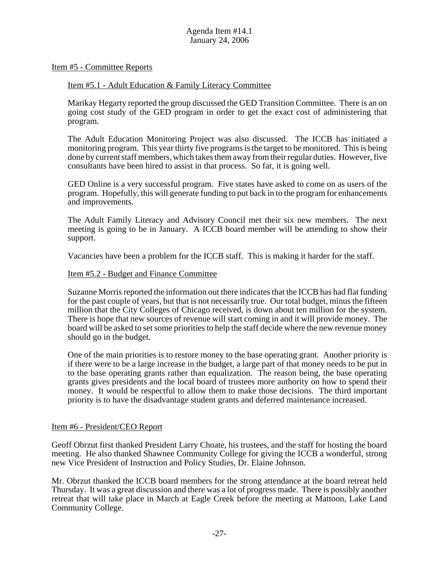#### Item #5 - Committee Reports

#### Item #5.1 - Adult Education & Family Literacy Committee

Marikay Hegarty reported the group discussed the GED Transition Committee. There is an on going cost study of the GED program in order to get the exact cost of administering that program.

The Adult Education Monitoring Project was also discussed. The ICCB has initiated a monitoring program. This year thirty five programs is the target to be monitored. This is being done by current staff members, which takes them away from their regular duties. However, five consultants have been hired to assist in that process. So far, it is going well.

GED Online is a very successful program. Five states have asked to come on as users of the program. Hopefully, this will generate funding to put back in to the program for enhancements and improvements.

The Adult Family Literacy and Advisory Council met their six new members. The next meeting is going to be in January. A ICCB board member will be attending to show their support.

Vacancies have been a problem for the ICCB staff. This is making it harder for the staff.

#### Item #5.2 - Budget and Finance Committee

Suzanne Morris reported the information out there indicates that the ICCB has had flat funding for the past couple of years, but that is not necessarily true. Our total budget, minus the fifteen million that the City Colleges of Chicago received, is down about ten million for the system. There is hope that new sources of revenue will start coming in and it will provide money. The board will be asked to set some priorities to help the staff decide where the new revenue money should go in the budget.

One of the main priorities is to restore money to the base operating grant. Another priority is if there were to be a large increase in the budget, a large part of that money needs to be put in to the base operating grants rather than equalization. The reason being, the base operating grants gives presidents and the local board of trustees more authority on how to spend their money. It would be respectful to allow them to make those decisions. The third important priority is to have the disadvantage student grants and deferred maintenance increased.

#### Item #6 - President/CEO Report

Geoff Obrzut first thanked President Larry Choate, his trustees, and the staff for hosting the board meeting. He also thanked Shawnee Community College for giving the ICCB a wonderful, strong new Vice President of Instruction and Policy Studies, Dr. Elaine Johnson.

Mr. Obrzut thanked the ICCB board members for the strong attendance at the board retreat held Thursday. It was a great discussion and there was a lot of progress made. There is possibly another retreat that will take place in March at Eagle Creek before the meeting at Mattoon, Lake Land Community College.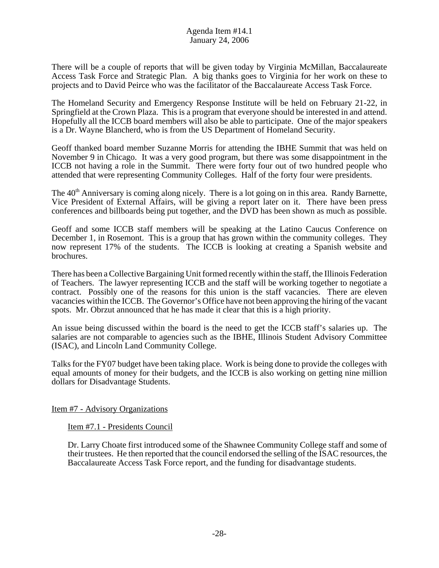There will be a couple of reports that will be given today by Virginia McMillan, Baccalaureate Access Task Force and Strategic Plan. A big thanks goes to Virginia for her work on these to projects and to David Peirce who was the facilitator of the Baccalaureate Access Task Force.

The Homeland Security and Emergency Response Institute will be held on February 21-22, in Springfield at the Crown Plaza. This is a program that everyone should be interested in and attend. Hopefully all the ICCB board members will also be able to participate. One of the major speakers is a Dr. Wayne Blancherd, who is from the US Department of Homeland Security.

Geoff thanked board member Suzanne Morris for attending the IBHE Summit that was held on November 9 in Chicago. It was a very good program, but there was some disappointment in the ICCB not having a role in the Summit. There were forty four out of two hundred people who attended that were representing Community Colleges. Half of the forty four were presidents.

The 40<sup>th</sup> Anniversary is coming along nicely. There is a lot going on in this area. Randy Barnette, Vice President of External Affairs, will be giving a report later on it. There have been press conferences and billboards being put together, and the DVD has been shown as much as possible.

Geoff and some ICCB staff members will be speaking at the Latino Caucus Conference on December 1, in Rosemont. This is a group that has grown within the community colleges. They now represent 17% of the students. The ICCB is looking at creating a Spanish website and brochures.

There has been a Collective Bargaining Unit formed recently within the staff, the Illinois Federation of Teachers. The lawyer representing ICCB and the staff will be working together to negotiate a contract. Possibly one of the reasons for this union is the staff vacancies. There are eleven vacancies within the ICCB. The Governor's Office have not been approving the hiring of the vacant spots. Mr. Obrzut announced that he has made it clear that this is a high priority.

An issue being discussed within the board is the need to get the ICCB staff's salaries up. The salaries are not comparable to agencies such as the IBHE, Illinois Student Advisory Committee (ISAC), and Lincoln Land Community College.

Talks for the FY07 budget have been taking place. Work is being done to provide the colleges with equal amounts of money for their budgets, and the ICCB is also working on getting nine million dollars for Disadvantage Students.

Item #7 - Advisory Organizations

Item #7.1 - Presidents Council

Dr. Larry Choate first introduced some of the Shawnee Community College staff and some of their trustees. He then reported that the council endorsed the selling of the ISAC resources, the Baccalaureate Access Task Force report, and the funding for disadvantage students.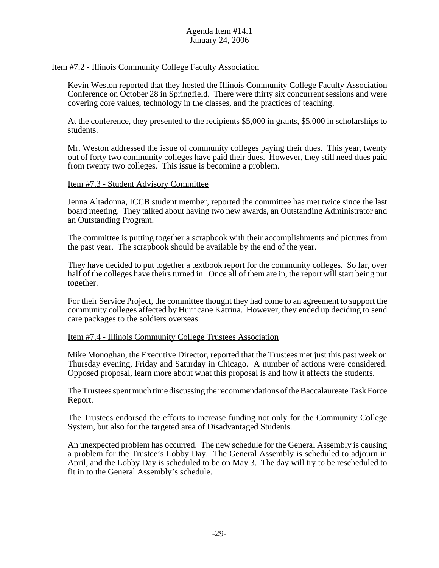# Item #7.2 - Illinois Community College Faculty Association

Kevin Weston reported that they hosted the Illinois Community College Faculty Association Conference on October 28 in Springfield. There were thirty six concurrent sessions and were covering core values, technology in the classes, and the practices of teaching.

At the conference, they presented to the recipients \$5,000 in grants, \$5,000 in scholarships to students.

Mr. Weston addressed the issue of community colleges paying their dues. This year, twenty out of forty two community colleges have paid their dues. However, they still need dues paid from twenty two colleges. This issue is becoming a problem.

#### Item #7.3 - Student Advisory Committee

Jenna Altadonna, ICCB student member, reported the committee has met twice since the last board meeting. They talked about having two new awards, an Outstanding Administrator and an Outstanding Program.

The committee is putting together a scrapbook with their accomplishments and pictures from the past year. The scrapbook should be available by the end of the year.

They have decided to put together a textbook report for the community colleges. So far, over half of the colleges have theirs turned in. Once all of them are in, the report will start being put together.

For their Service Project, the committee thought they had come to an agreement to support the community colleges affected by Hurricane Katrina. However, they ended up deciding to send care packages to the soldiers overseas.

#### Item #7.4 - Illinois Community College Trustees Association

Mike Monoghan, the Executive Director, reported that the Trustees met just this past week on Thursday evening, Friday and Saturday in Chicago. A number of actions were considered. Opposed proposal, learn more about what this proposal is and how it affects the students.

The Trustees spent much time discussing the recommendations of the Baccalaureate Task Force Report.

The Trustees endorsed the efforts to increase funding not only for the Community College System, but also for the targeted area of Disadvantaged Students.

An unexpected problem has occurred. The new schedule for the General Assembly is causing a problem for the Trustee's Lobby Day. The General Assembly is scheduled to adjourn in April, and the Lobby Day is scheduled to be on May 3. The day will try to be rescheduled to fit in to the General Assembly's schedule.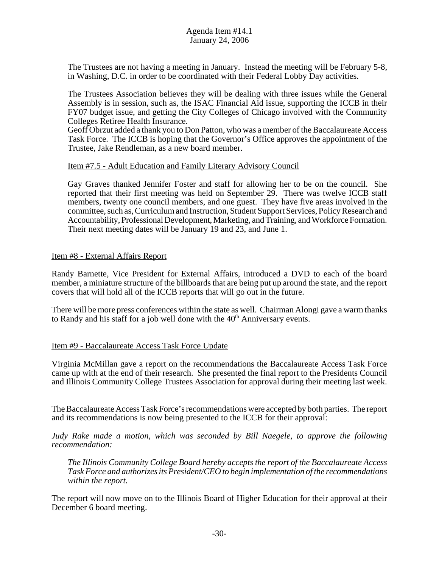The Trustees are not having a meeting in January. Instead the meeting will be February 5-8, in Washing, D.C. in order to be coordinated with their Federal Lobby Day activities.

The Trustees Association believes they will be dealing with three issues while the General Assembly is in session, such as, the ISAC Financial Aid issue, supporting the ICCB in their FY07 budget issue, and getting the City Colleges of Chicago involved with the Community Colleges Retiree Health Insurance.

Geoff Obrzut added a thank you to Don Patton, who was a member of the Baccalaureate Access Task Force. The ICCB is hoping that the Governor's Office approves the appointment of the Trustee, Jake Rendleman, as a new board member.

#### Item #7.5 - Adult Education and Family Literary Advisory Council

Gay Graves thanked Jennifer Foster and staff for allowing her to be on the council. She reported that their first meeting was held on September 29. There was twelve ICCB staff members, twenty one council members, and one guest. They have five areas involved in the committee, such as, Curriculum and Instruction, Student Support Services, Policy Research and Accountability, Professional Development, Marketing, and Training, and Workforce Formation. Their next meeting dates will be January 19 and 23, and June 1.

## Item #8 - External Affairs Report

Randy Barnette, Vice President for External Affairs, introduced a DVD to each of the board member, a miniature structure of the billboards that are being put up around the state, and the report covers that will hold all of the ICCB reports that will go out in the future.

There will be more press conferences within the state as well. Chairman Alongi gave a warm thanks to Randy and his staff for a job well done with the  $40<sup>th</sup>$  Anniversary events.

## Item #9 - Baccalaureate Access Task Force Update

Virginia McMillan gave a report on the recommendations the Baccalaureate Access Task Force came up with at the end of their research. She presented the final report to the Presidents Council and Illinois Community College Trustees Association for approval during their meeting last week.

The Baccalaureate Access Task Force's recommendations were accepted by both parties. The report and its recommendations is now being presented to the ICCB for their approval:

*Judy Rake made a motion, which was seconded by Bill Naegele, to approve the following recommendation:*

*The Illinois Community College Board hereby accepts the report of the Baccalaureate Access Task Force and authorizes its President/CEO to begin implementation of the recommendations within the report.*

The report will now move on to the Illinois Board of Higher Education for their approval at their December 6 board meeting.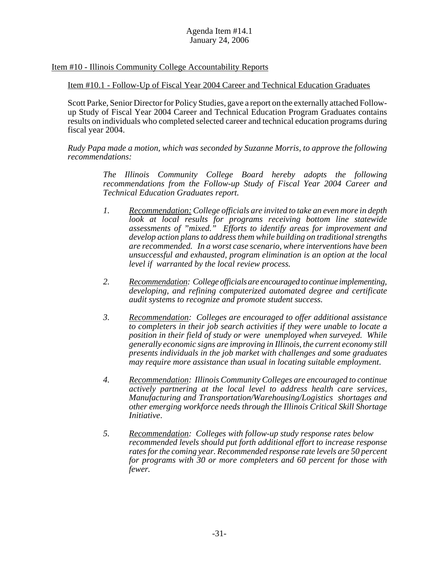# Item #10 - Illinois Community College Accountability Reports

## Item #10.1 - Follow-Up of Fiscal Year 2004 Career and Technical Education Graduates

Scott Parke, Senior Director for Policy Studies, gave a report on the externally attached Followup Study of Fiscal Year 2004 Career and Technical Education Program Graduates contains results on individuals who completed selected career and technical education programs during fiscal year 2004.

*Rudy Papa made a motion, which was seconded by Suzanne Morris, to approve the following recommendations:*

> *The Illinois Community College Board hereby adopts the following recommendations from the Follow-up Study of Fiscal Year 2004 Career and Technical Education Graduates report.*

- *1. Recommendation: College officials are invited to take an even more in depth look at local results for programs receiving bottom line statewide assessments of "mixed." Efforts to identify areas for improvement and develop action plans to address them while building on traditional strengths are recommended. In a worst case scenario, where interventions have been unsuccessful and exhausted, program elimination is an option at the local level if warranted by the local review process.*
- *2. Recommendation: College officials are encouraged to continue implementing, developing, and refining computerized automated degree and certificate audit systems to recognize and promote student success.*
- *3. Recommendation: Colleges are encouraged to offer additional assistance to completers in their job search activities if they were unable to locate a position in their field of study or were unemployed when surveyed. While generally economic signs are improving in Illinois, the current economy still presents individuals in the job market with challenges and some graduates may require more assistance than usual in locating suitable employment*.
- *4. Recommendation: Illinois Community Colleges are encouraged to continue actively partnering at the local level to address health care services, Manufacturing and Transportation/Warehousing/Logistics shortages and other emerging workforce needs through the Illinois Critical Skill Shortage Initiative*.
- *5. Recommendation: Colleges with follow-up study response rates below recommended levels should put forth additional effort to increase response rates for the coming year. Recommended response rate levels are 50 percent for programs with 30 or more completers and 60 percent for those with fewer.*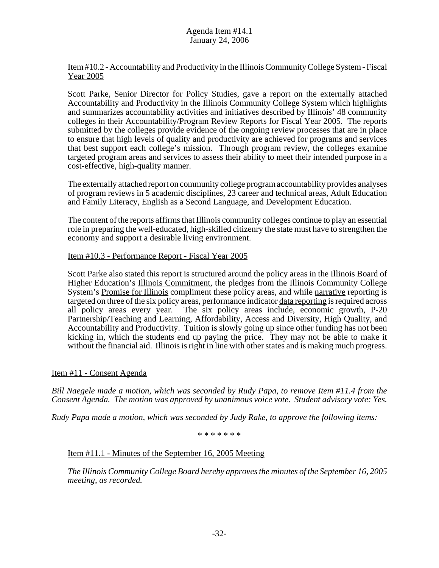# Item #10.2 - Accountability and Productivity in the Illinois Community College System - Fiscal Year 2005

Scott Parke, Senior Director for Policy Studies, gave a report on the externally attached Accountability and Productivity in the Illinois Community College System which highlights and summarizes accountability activities and initiatives described by Illinois' 48 community colleges in their Accountability/Program Review Reports for Fiscal Year 2005. The reports submitted by the colleges provide evidence of the ongoing review processes that are in place to ensure that high levels of quality and productivity are achieved for programs and services that best support each college's mission. Through program review, the colleges examine targeted program areas and services to assess their ability to meet their intended purpose in a cost-effective, high-quality manner.

The externally attached report on community college program accountability provides analyses of program reviews in 5 academic disciplines, 23 career and technical areas, Adult Education and Family Literacy, English as a Second Language, and Development Education.

The content of the reports affirms that Illinois community colleges continue to play an essential role in preparing the well-educated, high-skilled citizenry the state must have to strengthen the economy and support a desirable living environment.

## Item #10.3 - Performance Report - Fiscal Year 2005

Scott Parke also stated this report is structured around the policy areas in the Illinois Board of Higher Education's Illinois Commitment, the pledges from the Illinois Community College System's Promise for Illinois compliment these policy areas, and while narrative reporting is targeted on three of the six policy areas, performance indicator data reporting is required across all policy areas every year. The six policy areas include, economic growth, P-20 Partnership/Teaching and Learning, Affordability, Access and Diversity, High Quality, and Accountability and Productivity. Tuition is slowly going up since other funding has not been kicking in, which the students end up paying the price. They may not be able to make it without the financial aid. Illinois is right in line with other states and is making much progress.

## Item #11 - Consent Agenda

*Bill Naegele made a motion, which was seconded by Rudy Papa, to remove Item #11.4 from the Consent Agenda. The motion was approved by unanimous voice vote. Student advisory vote: Yes.*

*Rudy Papa made a motion, which was seconded by Judy Rake, to approve the following items:*

\* \* \* \* \* \* \*

## Item #11.1 - Minutes of the September 16, 2005 Meeting

*The Illinois Community College Board hereby approves the minutes of the September 16, 2005 meeting, as recorded.*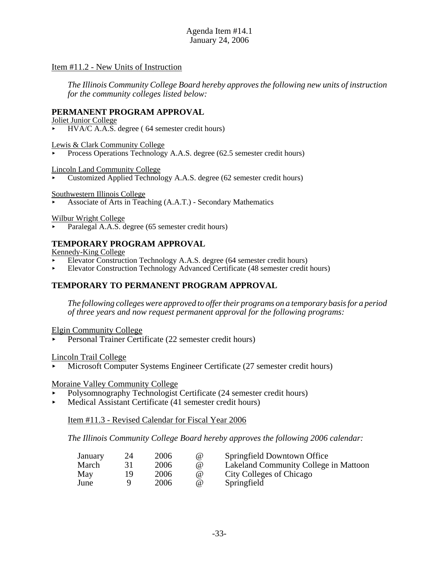#### Item #11.2 - New Units of Instruction

*The Illinois Community College Board hereby approves the following new units of instruction for the community colleges listed below:*

#### **PERMANENT PROGRAM APPROVAL**

Joliet Junior College

< HVA/C A.A.S. degree ( 64 semester credit hours)

Lewis & Clark Community College

Process Operations Technology A.A.S. degree (62.5 semester credit hours)

Lincoln Land Community College

< Customized Applied Technology A.A.S. degree (62 semester credit hours)

Southwestern Illinois College

< Associate of Arts in Teaching (A.A.T.) - Secondary Mathematics

Wilbur Wright College

Paralegal A.A.S. degree (65 semester credit hours)

#### **TEMPORARY PROGRAM APPROVAL**

Kennedy-King College

- < Elevator Construction Technology A.A.S. degree (64 semester credit hours)
- < Elevator Construction Technology Advanced Certificate (48 semester credit hours)

# **TEMPORARY TO PERMANENT PROGRAM APPROVAL**

*The following colleges were approved to offer their programs on a temporary basis for a period of three years and now request permanent approval for the following programs:*

Elgin Community College

< Personal Trainer Certificate (22 semester credit hours)

Lincoln Trail College

< Microsoft Computer Systems Engineer Certificate (27 semester credit hours)

#### Moraine Valley Community College

- < Polysomnography Technologist Certificate (24 semester credit hours)
- < Medical Assistant Certificate (41 semester credit hours)

Item #11.3 - Revised Calendar for Fiscal Year 2006

*The Illinois Community College Board hereby approves the following 2006 calendar:*

| January | 24 | 2006 | $\omega$ | Springfield Downtown Office           |
|---------|----|------|----------|---------------------------------------|
| March   |    | 2006 | (a)      | Lakeland Community College in Mattoon |
| May     |    | 2006 | $\omega$ | City Colleges of Chicago              |
| June    |    | 2006 | (a)      | Springfield                           |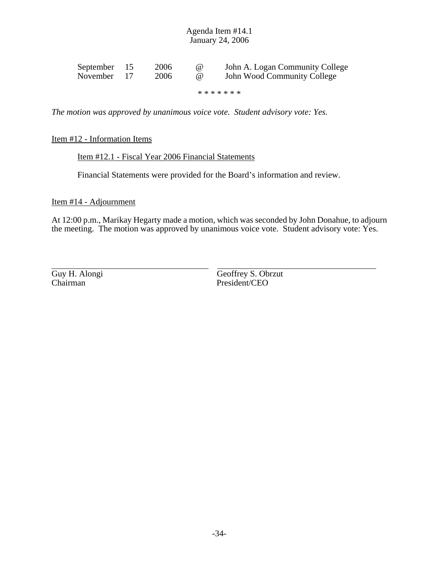| September 15 | 2006 | (a) | John A. Logan Community College |
|--------------|------|-----|---------------------------------|
| November 17  | 2006 | (a) | John Wood Community College     |

\* \* \* \* \* \* \*

*The motion was approved by unanimous voice vote. Student advisory vote: Yes.*

#### Item #12 - Information Items

#### Item #12.1 - Fiscal Year 2006 Financial Statements

Financial Statements were provided for the Board's information and review.

# Item #14 - Adjournment

At 12:00 p.m., Marikay Hegarty made a motion, which was seconded by John Donahue, to adjourn the meeting. The motion was approved by unanimous voice vote. Student advisory vote: Yes.

Guy H. Alongi Chairman President/CEO

Geoffrey S. Obrzut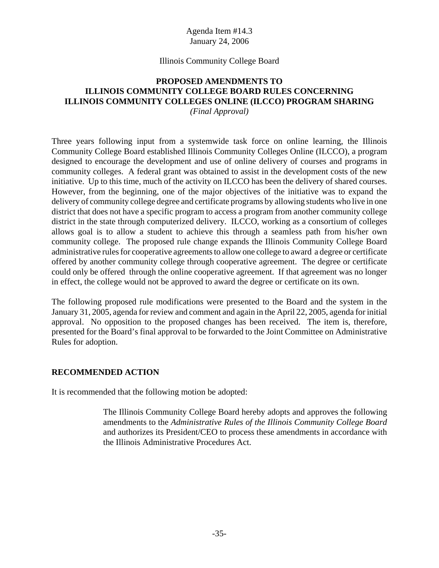## Illinois Community College Board

# **PROPOSED AMENDMENTS TO ILLINOIS COMMUNITY COLLEGE BOARD RULES CONCERNING ILLINOIS COMMUNITY COLLEGES ONLINE (ILCCO) PROGRAM SHARING**

*(Final Approval)*

Three years following input from a systemwide task force on online learning, the Illinois Community College Board established Illinois Community Colleges Online (ILCCO), a program designed to encourage the development and use of online delivery of courses and programs in community colleges. A federal grant was obtained to assist in the development costs of the new initiative. Up to this time, much of the activity on ILCCO has been the delivery of shared courses. However, from the beginning, one of the major objectives of the initiative was to expand the delivery of community college degree and certificate programs by allowing students who live in one district that does not have a specific program to access a program from another community college district in the state through computerized delivery. ILCCO, working as a consortium of colleges allows goal is to allow a student to achieve this through a seamless path from his/her own community college. The proposed rule change expands the Illinois Community College Board administrative rules for cooperative agreements to allow one college to award a degree or certificate offered by another community college through cooperative agreement. The degree or certificate could only be offered through the online cooperative agreement. If that agreement was no longer in effect, the college would not be approved to award the degree or certificate on its own.

The following proposed rule modifications were presented to the Board and the system in the January 31, 2005, agenda for review and comment and again in the April 22, 2005, agenda for initial approval. No opposition to the proposed changes has been received. The item is, therefore, presented for the Board's final approval to be forwarded to the Joint Committee on Administrative Rules for adoption.

## **RECOMMENDED ACTION**

It is recommended that the following motion be adopted:

The Illinois Community College Board hereby adopts and approves the following amendments to the *Administrative Rules of the Illinois Community College Board* and authorizes its President/CEO to process these amendments in accordance with the Illinois Administrative Procedures Act.